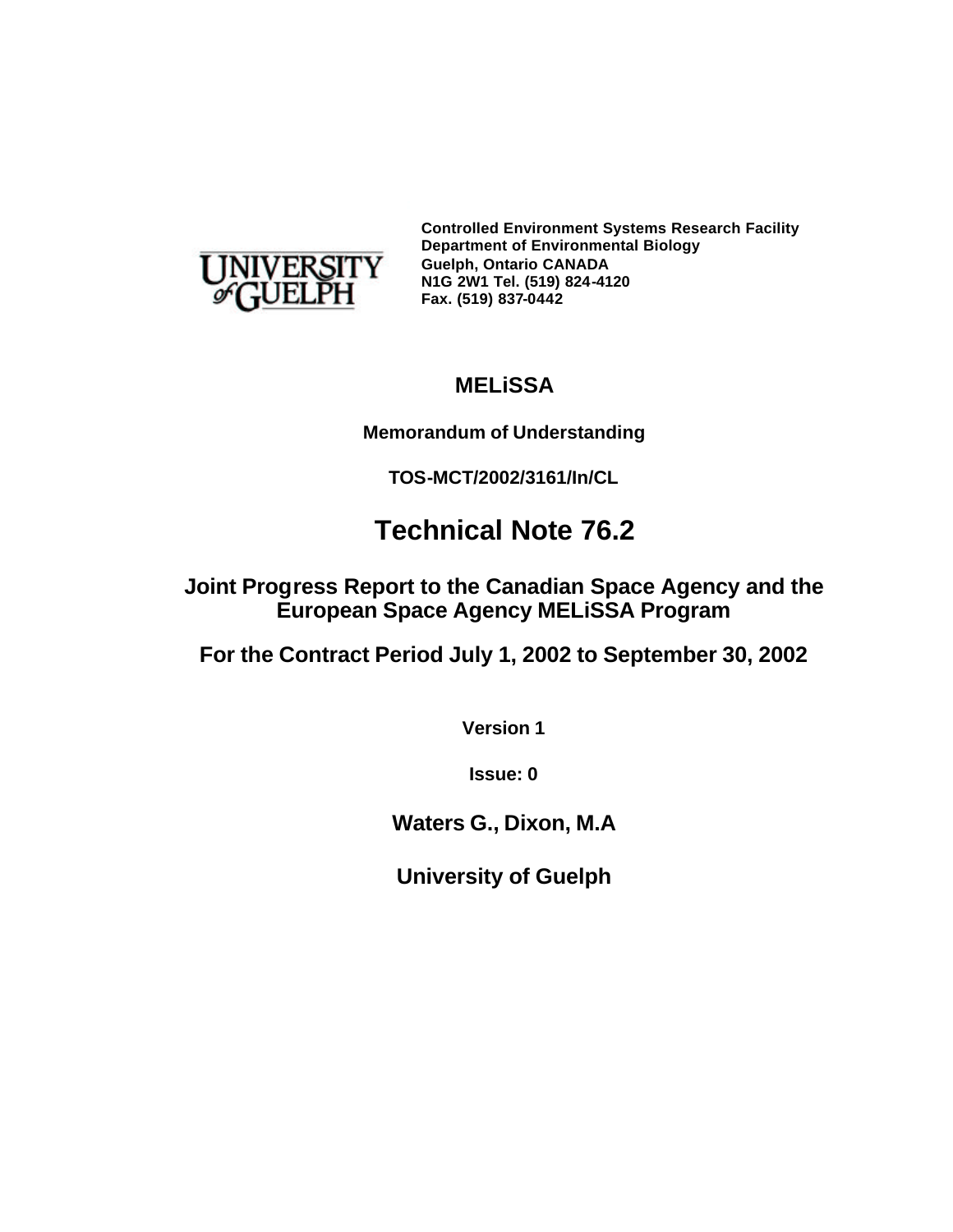

**Controlled Environment Systems Research Facility Department of Environmental Biology Guelph, Ontario CANADA N1G 2W1 Tel. (519) 824-4120 Fax. (519) 837-0442**

# **MELiSSA**

# **Memorandum of Understanding**

**TOS-MCT/2002/3161/In/CL**

# **Technical Note 76.2**

**Joint Progress Report to the Canadian Space Agency and the European Space Agency MELiSSA Program**

**For the Contract Period July 1, 2002 to September 30, 2002**

**Version 1**

**Issue: 0**

**Waters G., Dixon, M.A**

**University of Guelph**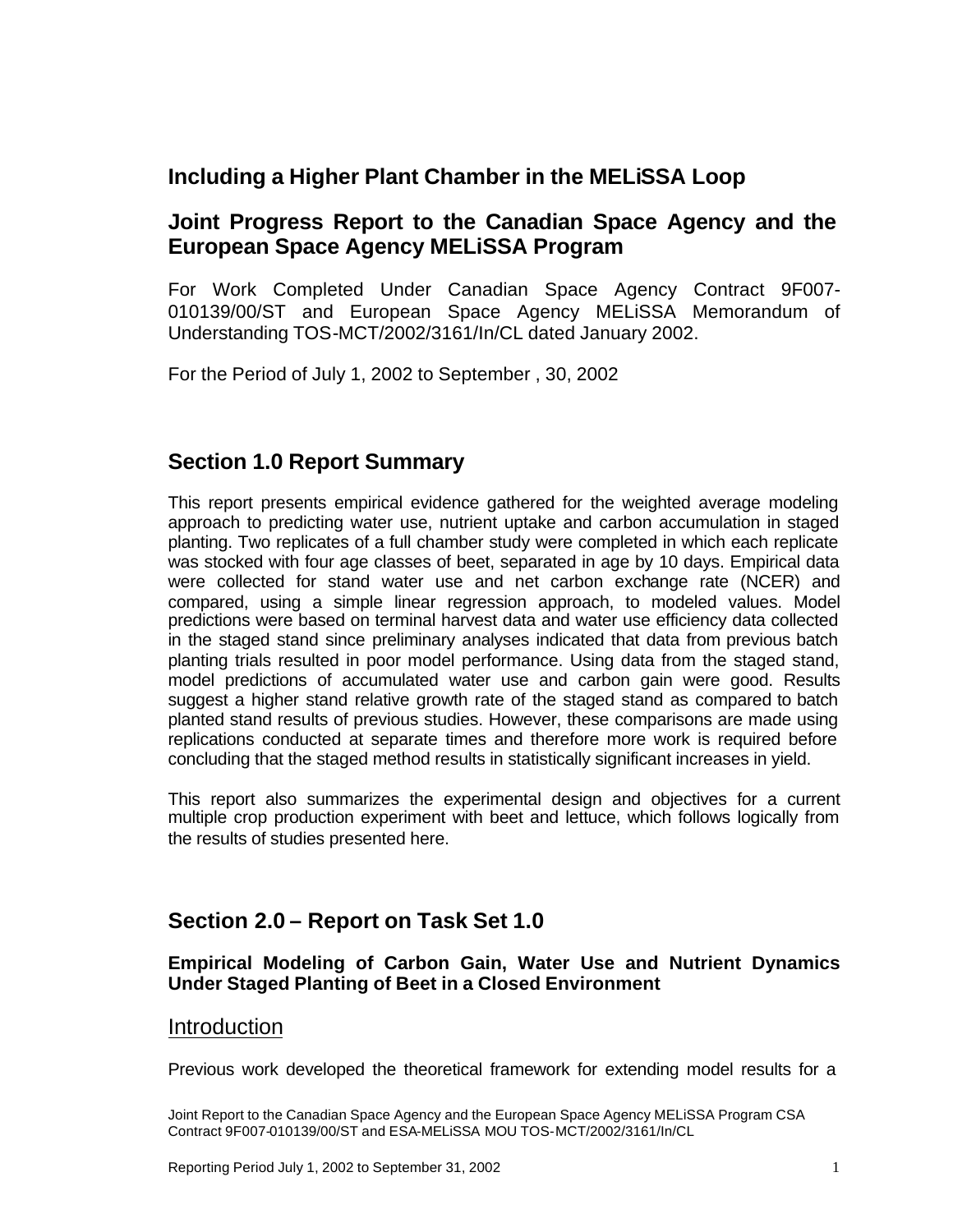# **Including a Higher Plant Chamber in the MELiSSA Loop**

### **Joint Progress Report to the Canadian Space Agency and the European Space Agency MELiSSA Program**

For Work Completed Under Canadian Space Agency Contract 9F007- 010139/00/ST and European Space Agency MELiSSA Memorandum of Understanding TOS-MCT/2002/3161/In/CL dated January 2002.

For the Period of July 1, 2002 to September , 30, 2002

# **Section 1.0 Report Summary**

This report presents empirical evidence gathered for the weighted average modeling approach to predicting water use, nutrient uptake and carbon accumulation in staged planting. Two replicates of a full chamber study were completed in which each replicate was stocked with four age classes of beet, separated in age by 10 days. Empirical data were collected for stand water use and net carbon exchange rate (NCER) and compared, using a simple linear regression approach, to modeled values. Model predictions were based on terminal harvest data and water use efficiency data collected in the staged stand since preliminary analyses indicated that data from previous batch planting trials resulted in poor model performance. Using data from the staged stand, model predictions of accumulated water use and carbon gain were good. Results suggest a higher stand relative growth rate of the staged stand as compared to batch planted stand results of previous studies. However, these comparisons are made using replications conducted at separate times and therefore more work is required before concluding that the staged method results in statistically significant increases in yield.

This report also summarizes the experimental design and objectives for a current multiple crop production experiment with beet and lettuce, which follows logically from the results of studies presented here.

# **Section 2.0 – Report on Task Set 1.0**

#### **Empirical Modeling of Carbon Gain, Water Use and Nutrient Dynamics Under Staged Planting of Beet in a Closed Environment**

#### Introduction

Previous work developed the theoretical framework for extending model results for a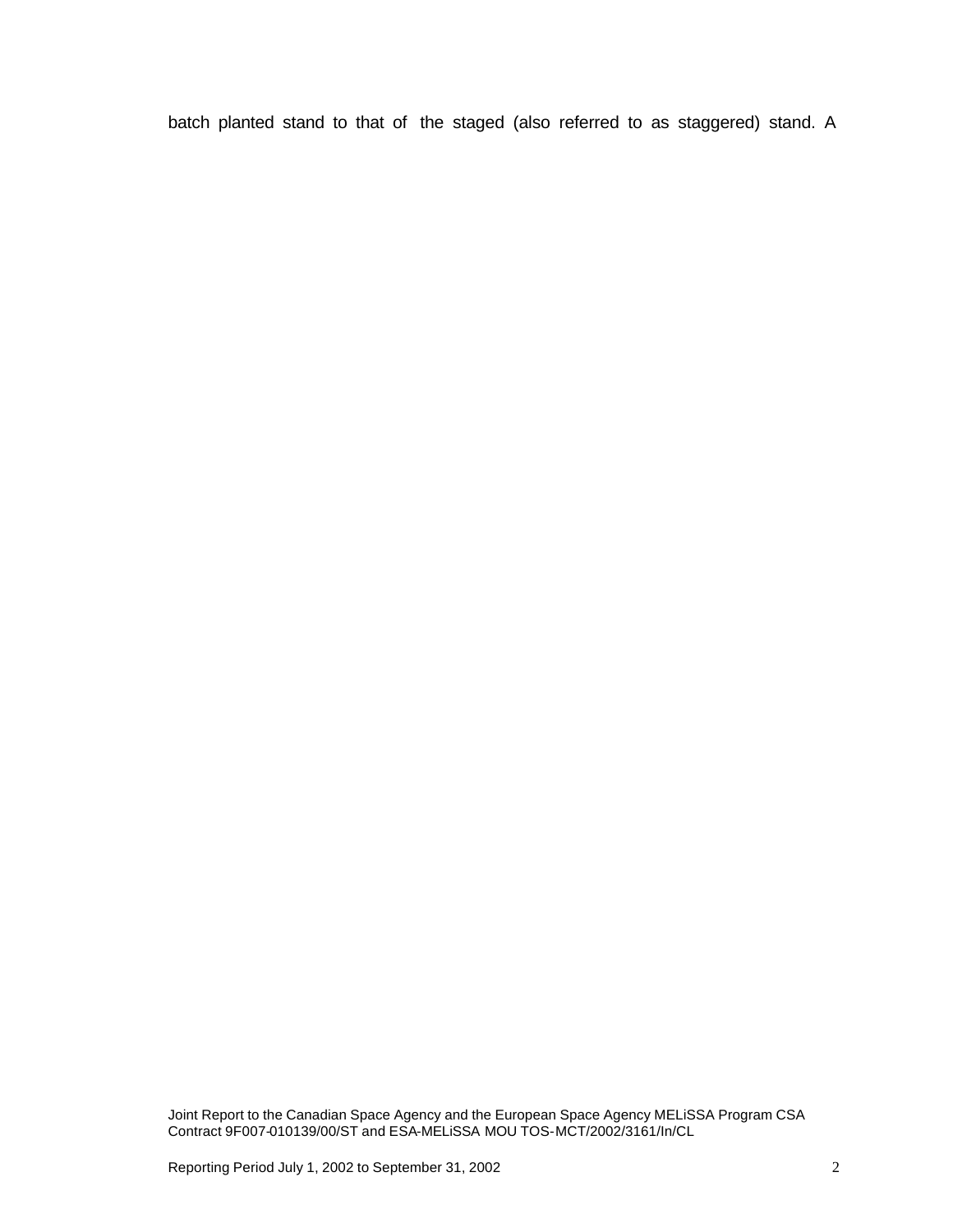batch planted stand to that of the staged (also referred to as staggered) stand. A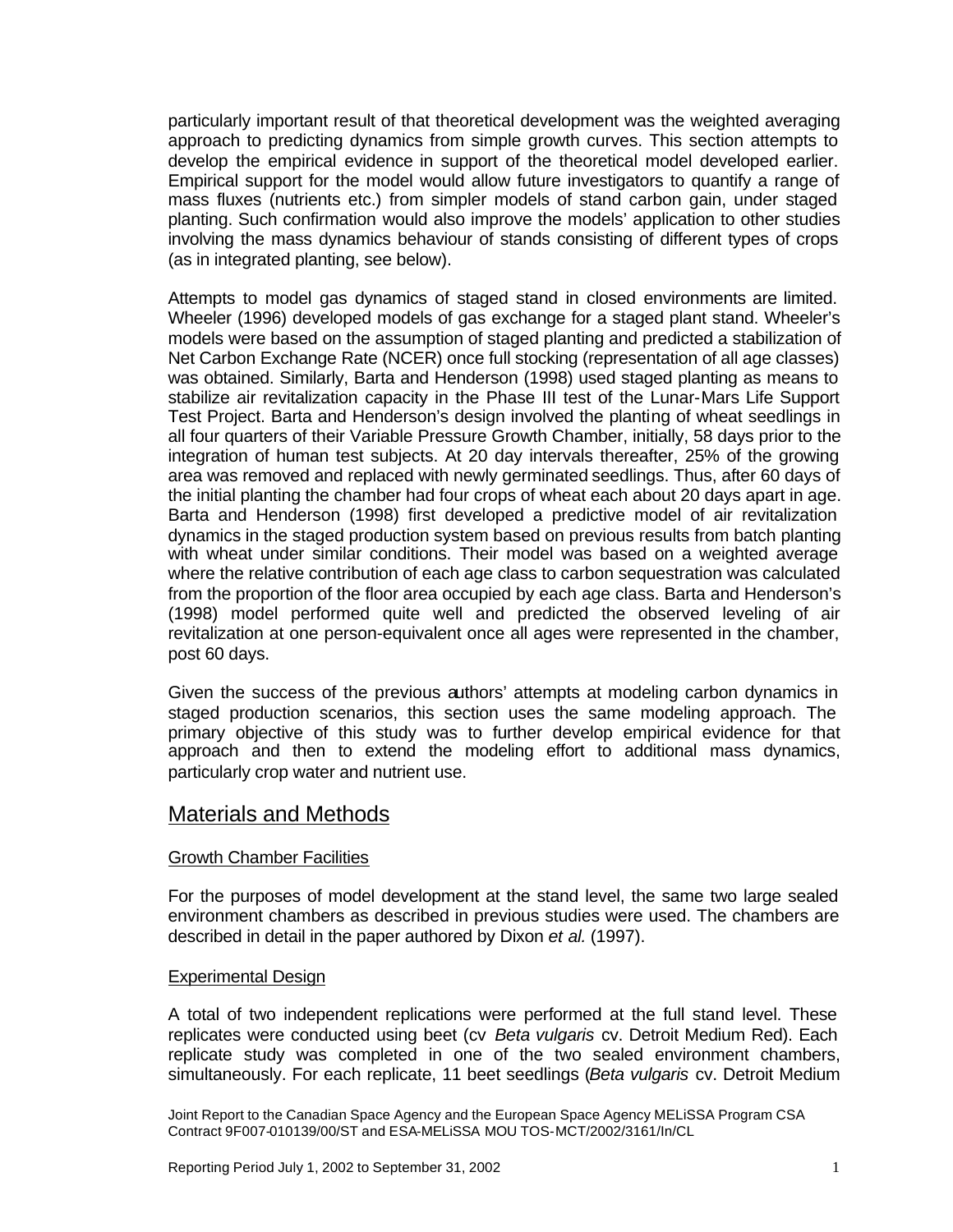particularly important result of that theoretical development was the weighted averaging approach to predicting dynamics from simple growth curves. This section attempts to develop the empirical evidence in support of the theoretical model developed earlier. Empirical support for the model would allow future investigators to quantify a range of mass fluxes (nutrients etc.) from simpler models of stand carbon gain, under staged planting. Such confirmation would also improve the models' application to other studies involving the mass dynamics behaviour of stands consisting of different types of crops (as in integrated planting, see below).

Attempts to model gas dynamics of staged stand in closed environments are limited. Wheeler (1996) developed models of gas exchange for a staged plant stand. Wheeler's models were based on the assumption of staged planting and predicted a stabilization of Net Carbon Exchange Rate (NCER) once full stocking (representation of all age classes) was obtained. Similarly, Barta and Henderson (1998) used staged planting as means to stabilize air revitalization capacity in the Phase III test of the Lunar-Mars Life Support Test Project. Barta and Henderson's design involved the planting of wheat seedlings in all four quarters of their Variable Pressure Growth Chamber, initially, 58 days prior to the integration of human test subjects. At 20 day intervals thereafter, 25% of the growing area was removed and replaced with newly germinated seedlings. Thus, after 60 days of the initial planting the chamber had four crops of wheat each about 20 days apart in age. Barta and Henderson (1998) first developed a predictive model of air revitalization dynamics in the staged production system based on previous results from batch planting with wheat under similar conditions. Their model was based on a weighted average where the relative contribution of each age class to carbon sequestration was calculated from the proportion of the floor area occupied by each age class. Barta and Henderson's (1998) model performed quite well and predicted the observed leveling of air revitalization at one person-equivalent once all ages were represented in the chamber, post 60 days.

Given the success of the previous authors' attempts at modeling carbon dynamics in staged production scenarios, this section uses the same modeling approach. The primary objective of this study was to further develop empirical evidence for that approach and then to extend the modeling effort to additional mass dynamics, particularly crop water and nutrient use.

### Materials and Methods

#### Growth Chamber Facilities

For the purposes of model development at the stand level, the same two large sealed environment chambers as described in previous studies were used. The chambers are described in detail in the paper authored by Dixon *et al.* (1997).

#### Experimental Design

A total of two independent replications were performed at the full stand level. These replicates were conducted using beet (cv *Beta vulgaris* cv. Detroit Medium Red). Each replicate study was completed in one of the two sealed environment chambers, simultaneously. For each replicate, 11 beet seedlings (*Beta vulgaris* cv. Detroit Medium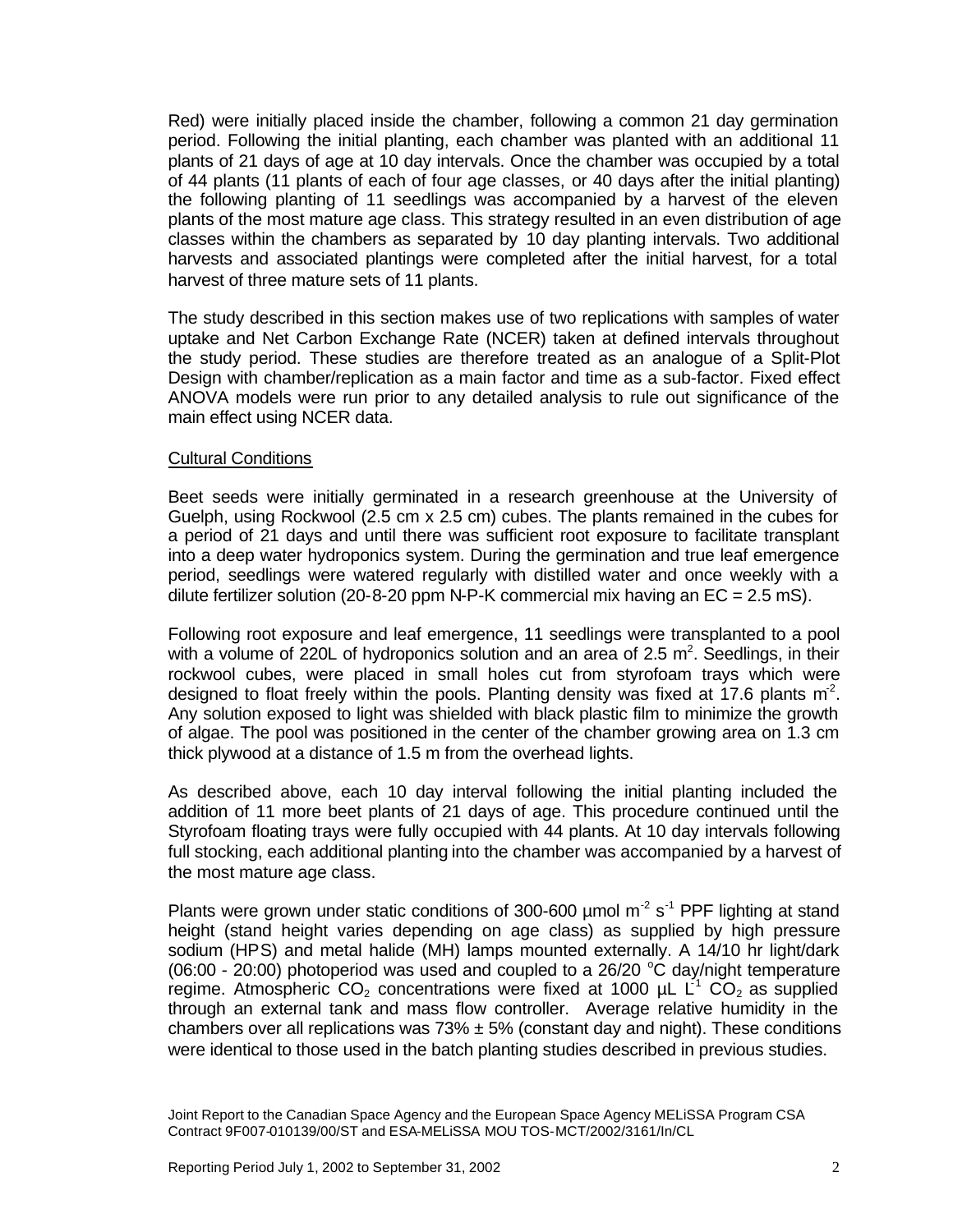Red) were initially placed inside the chamber, following a common 21 day germination period. Following the initial planting, each chamber was planted with an additional 11 plants of 21 days of age at 10 day intervals. Once the chamber was occupied by a total of 44 plants (11 plants of each of four age classes, or 40 days after the initial planting) the following planting of 11 seedlings was accompanied by a harvest of the eleven plants of the most mature age class. This strategy resulted in an even distribution of age classes within the chambers as separated by 10 day planting intervals. Two additional harvests and associated plantings were completed after the initial harvest, for a total harvest of three mature sets of 11 plants.

The study described in this section makes use of two replications with samples of water uptake and Net Carbon Exchange Rate (NCER) taken at defined intervals throughout the study period. These studies are therefore treated as an analogue of a Split-Plot Design with chamber/replication as a main factor and time as a sub-factor. Fixed effect ANOVA models were run prior to any detailed analysis to rule out significance of the main effect using NCER data.

#### Cultural Conditions

Beet seeds were initially germinated in a research greenhouse at the University of Guelph, using Rockwool (2.5 cm x 2.5 cm) cubes. The plants remained in the cubes for a period of 21 days and until there was sufficient root exposure to facilitate transplant into a deep water hydroponics system. During the germination and true leaf emergence period, seedlings were watered regularly with distilled water and once weekly with a dilute fertilizer solution (20-8-20 ppm N-P-K commercial mix having an  $EC = 2.5$  mS).

Following root exposure and leaf emergence, 11 seedlings were transplanted to a pool with a volume of 220L of hydroponics solution and an area of 2.5  $m^2$ . Seedlings, in their rockwool cubes, were placed in small holes cut from styrofoam trays which were designed to float freely within the pools. Planting density was fixed at 17.6 plants  $m^2$ . Any solution exposed to light was shielded with black plastic film to minimize the growth of algae. The pool was positioned in the center of the chamber growing area on 1.3 cm thick plywood at a distance of 1.5 m from the overhead lights.

As described above, each 10 day interval following the initial planting included the addition of 11 more beet plants of 21 days of age. This procedure continued until the Styrofoam floating trays were fully occupied with 44 plants. At 10 day intervals following full stocking, each additional planting into the chamber was accompanied by a harvest of the most mature age class.

Plants were grown under static conditions of 300-600  $\mu$ mol m<sup>-2</sup> s<sup>-1</sup> PPF lighting at stand height (stand height varies depending on age class) as supplied by high pressure sodium (HPS) and metal halide (MH) lamps mounted externally. A 14/10 hr light/dark (06:00 - 20:00) photoperiod was used and coupled to a  $26/20$  °C day/night temperature regime. Atmospheric  $CO<sub>2</sub>$  concentrations were fixed at 1000  $\mu$ L L<sup>-1</sup> CO<sub>2</sub> as supplied through an external tank and mass flow controller. Average relative humidity in the chambers over all replications was  $73\% \pm 5\%$  (constant day and night). These conditions were identical to those used in the batch planting studies described in previous studies.

Joint Report to the Canadian Space Agency and the European Space Agency MELiSSA Program CSA Contract 9F007-010139/00/ST and ESA-MELiSSA MOU TOS-MCT/2002/3161/In/CL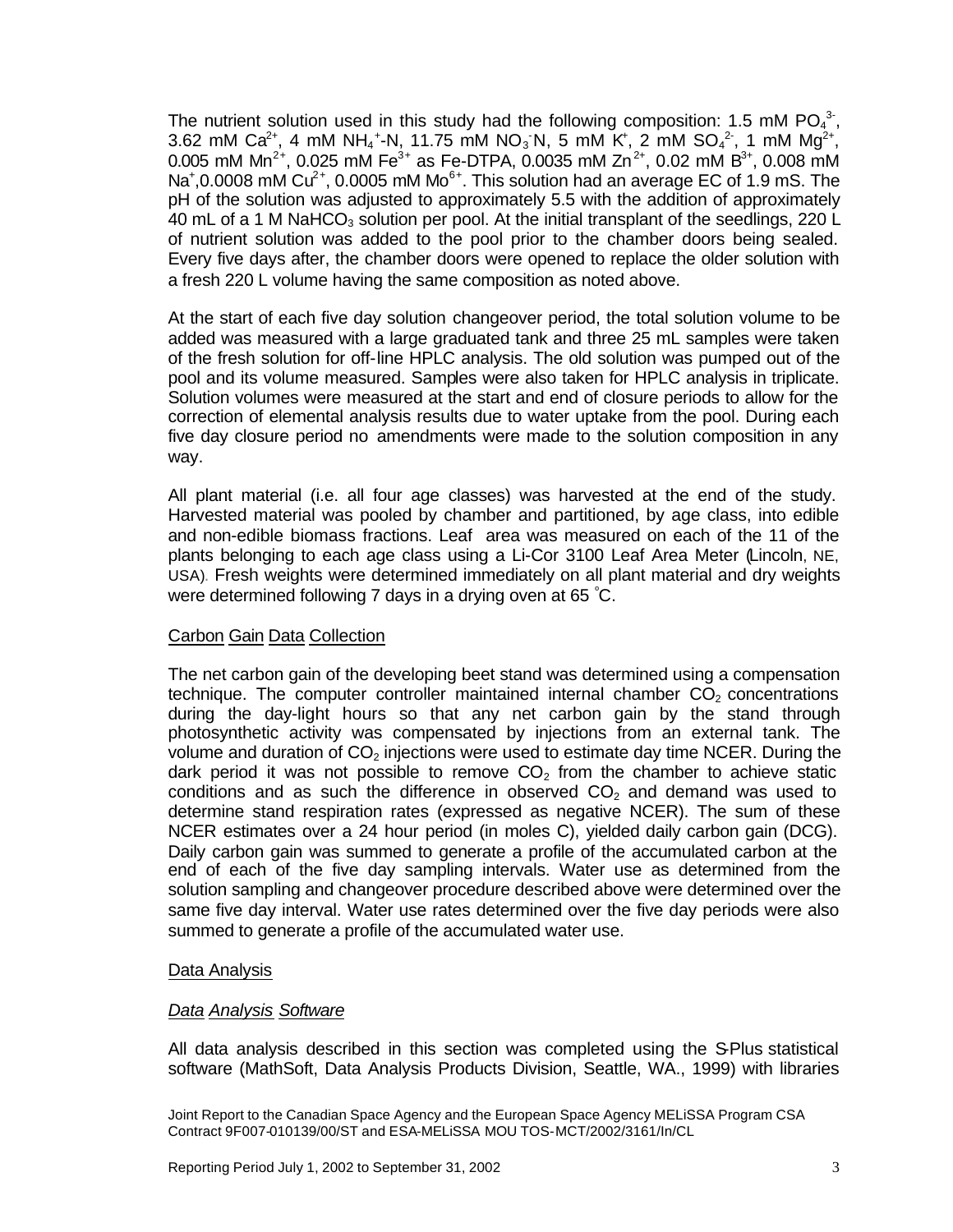The nutrient solution used in this study had the following composition: 1.5 mM PO $_4^3$ , 3.62 mM Ca<sup>2+</sup>, 4 mM NH<sub>4</sub><sup>+</sup>-N, 11.75 mM NO<sub>3</sub>N, 5 mM K<sup>+</sup>, 2 mM SO<sub>4</sub><sup>2</sup>, 1 mM Mg<sup>2+</sup>, 0.005 mM Mn<sup>2+</sup>, 0.025 mM Fe<sup>3+</sup> as Fe-DTPA, 0.0035 mM Zn<sup>2+</sup>, 0.02 mM B<sup>3+</sup>, 0.008 mM Na<sup>+</sup>,0.0008 mM Cu<sup>2+</sup>, 0.0005 mM Mo<sup>6+</sup>. This solution had an average EC of 1.9 mS. The pH of the solution was adjusted to approximately 5.5 with the addition of approximately 40 mL of a 1 M NaHCO<sub>3</sub> solution per pool. At the initial transplant of the seedlings, 220 L of nutrient solution was added to the pool prior to the chamber doors being sealed. Every five days after, the chamber doors were opened to replace the older solution with a fresh 220 L volume having the same composition as noted above.

At the start of each five day solution changeover period, the total solution volume to be added was measured with a large graduated tank and three 25 mL samples were taken of the fresh solution for off-line HPLC analysis. The old solution was pumped out of the pool and its volume measured. Samples were also taken for HPLC analysis in triplicate. Solution volumes were measured at the start and end of closure periods to allow for the correction of elemental analysis results due to water uptake from the pool. During each five day closure period no amendments were made to the solution composition in any way.

All plant material (i.e. all four age classes) was harvested at the end of the study. Harvested material was pooled by chamber and partitioned, by age class, into edible and non-edible biomass fractions. Leaf area was measured on each of the 11 of the plants belonging to each age class using a Li-Cor 3100 Leaf Area Meter (Lincoln, NE, USA). Fresh weights were determined immediately on all plant material and dry weights were determined following 7 days in a drying oven at 65 °C.

#### Carbon Gain Data Collection

The net carbon gain of the developing beet stand was determined using a compensation technique. The computer controller maintained internal chamber  $CO<sub>2</sub>$  concentrations during the day-light hours so that any net carbon gain by the stand through photosynthetic activity was compensated by injections from an external tank. The volume and duration of  $CO<sub>2</sub>$  injections were used to estimate day time NCER. During the dark period it was not possible to remove  $CO<sub>2</sub>$  from the chamber to achieve static conditions and as such the difference in observed  $CO<sub>2</sub>$  and demand was used to determine stand respiration rates (expressed as negative NCER). The sum of these NCER estimates over a 24 hour period (in moles C), yielded daily carbon gain (DCG). Daily carbon gain was summed to generate a profile of the accumulated carbon at the end of each of the five day sampling intervals. Water use as determined from the solution sampling and changeover procedure described above were determined over the same five day interval. Water use rates determined over the five day periods were also summed to generate a profile of the accumulated water use.

#### Data Analysis

#### *Data Analysis Software*

All data analysis described in this section was completed using the S-Plus statistical software (MathSoft, Data Analysis Products Division, Seattle, WA., 1999) with libraries

Joint Report to the Canadian Space Agency and the European Space Agency MELiSSA Program CSA Contract 9F007-010139/00/ST and ESA-MELiSSA MOU TOS-MCT/2002/3161/In/CL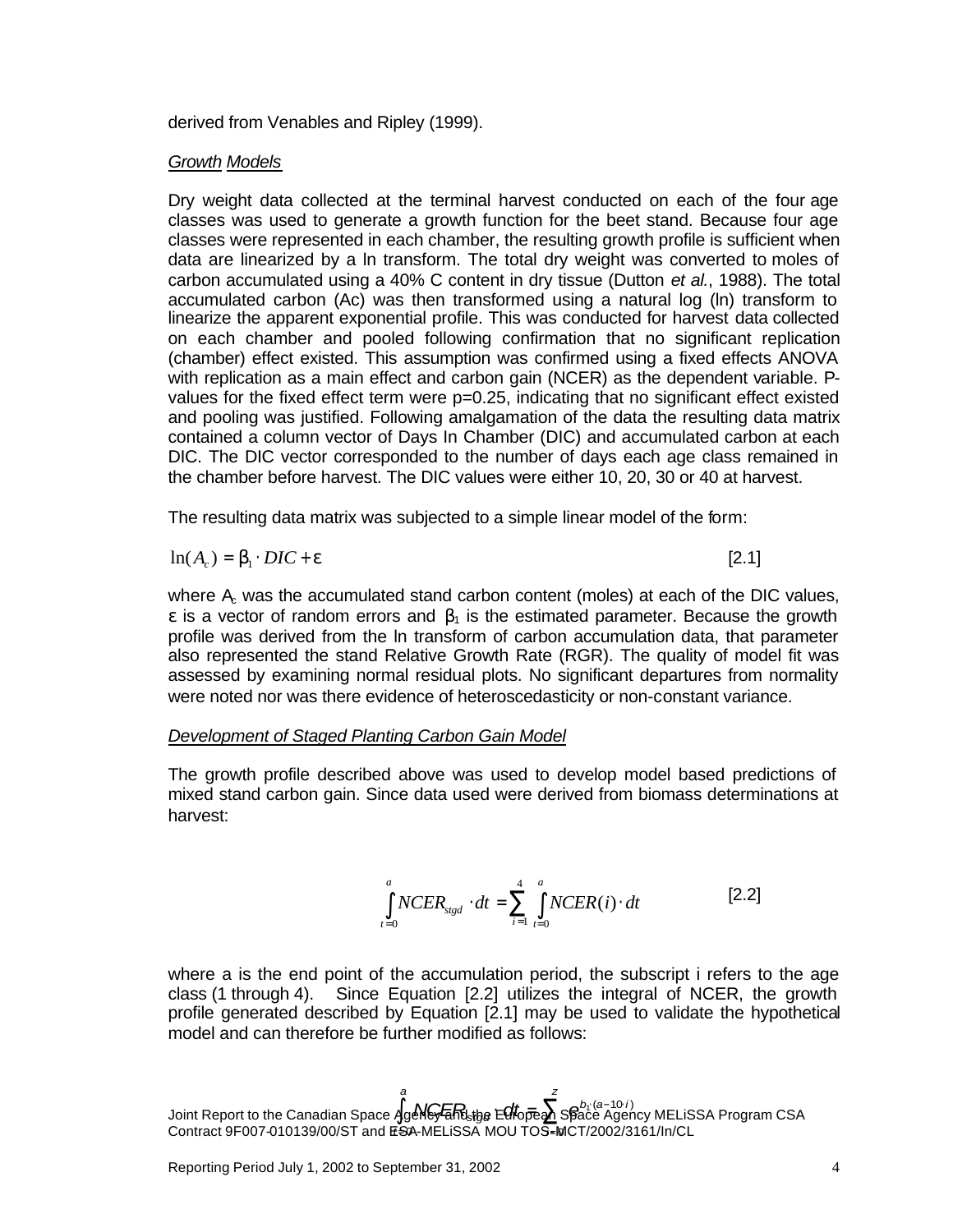derived from Venables and Ripley (1999).

#### *Growth Models*

Dry weight data collected at the terminal harvest conducted on each of the four age classes was used to generate a growth function for the beet stand. Because four age classes were represented in each chamber, the resulting growth profile is sufficient when data are linearized by a ln transform. The total dry weight was converted to moles of carbon accumulated using a 40% C content in dry tissue (Dutton *et al.*, 1988). The total accumulated carbon (Ac) was then transformed using a natural log (ln) transform to linearize the apparent exponential profile. This was conducted for harvest data collected on each chamber and pooled following confirmation that no significant replication (chamber) effect existed. This assumption was confirmed using a fixed effects ANOVA with replication as a main effect and carbon gain (NCER) as the dependent variable. Pvalues for the fixed effect term were p=0.25, indicating that no significant effect existed and pooling was justified. Following amalgamation of the data the resulting data matrix contained a column vector of Days In Chamber (DIC) and accumulated carbon at each DIC. The DIC vector corresponded to the number of days each age class remained in the chamber before harvest. The DIC values were either 10, 20, 30 or 40 at harvest.

The resulting data matrix was subjected to a simple linear model of the form:

$$
\ln(A_c) = \mathbf{b}_1 \cdot DIC + \mathbf{e}
$$

[2.1]

where  $A<sub>c</sub>$  was the accumulated stand carbon content (moles) at each of the DIC values, ε is a vector of random errors and  $β_1$  is the estimated parameter. Because the growth profile was derived from the ln transform of carbon accumulation data, that parameter also represented the stand Relative Growth Rate (RGR). The quality of model fit was assessed by examining normal residual plots. No significant departures from normality were noted nor was there evidence of heteroscedasticity or non-constant variance.

#### *Development of Staged Planting Carbon Gain Model*

The growth profile described above was used to develop model based predictions of mixed stand carbon gain. Since data used were derived from biomass determinations at harvest:

$$
\int_{t=0}^{a} NCER_{stgd} \cdot dt = \sum_{i=1}^{4} \int_{t=0}^{a} NCER(i) \cdot dt
$$
 [2.2]

where a is the end point of the accumulation period, the subscript i refers to the age class (1 through 4). Since Equation [2.2] utilizes the integral of NCER, the growth profile generated described by Equation [2.1] may be used to validate the hypothetical model and can therefore be further modified as follows:

 $J$ oint Report to the Canadian Space  $\lambda$ geN $G$ कR $_{\rm step}$ e E $G$ t $_{\rm open}$ Space Agency MELiSSA Program CSA Contract 9F007-010139/00/ST and ESA-MELiSSA MOU TOS-MCT/2002/3161/In/CL *t i* = = 0 0 *a b*<sub>1</sub> (a-10 *i* **∫**<br>4geNG<del>/Endstge</del> EGtopean Space Ager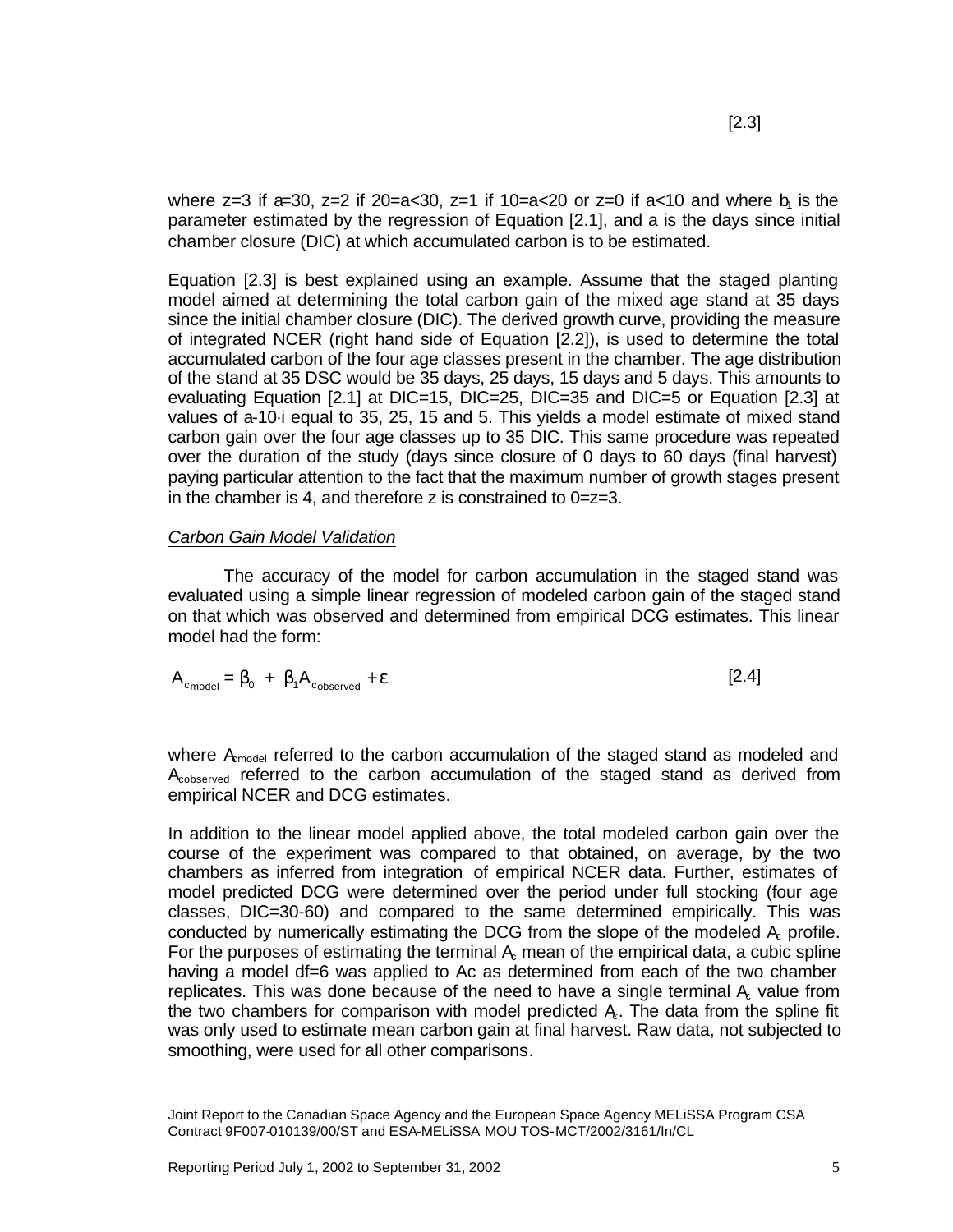where z=3 if a=30, z=2 if 20=a<30, z=1 if  $10=$ a $<$ 20 or z=0 if a $<$ 10 and where  $b<sub>1</sub>$  is the parameter estimated by the regression of Equation [2.1], and a is the days since initial chamber closure (DIC) at which accumulated carbon is to be estimated.

Equation [2.3] is best explained using an example. Assume that the staged planting model aimed at determining the total carbon gain of the mixed age stand at 35 days since the initial chamber closure (DIC). The derived growth curve, providing the measure of integrated NCER (right hand side of Equation [2.2]), is used to determine the total accumulated carbon of the four age classes present in the chamber. The age distribution of the stand at 35 DSC would be 35 days, 25 days, 15 days and 5 days. This amounts to evaluating Equation [2.1] at DIC=15, DIC=25, DIC=35 and DIC=5 or Equation [2.3] at values of a-10·i equal to 35, 25, 15 and 5. This yields a model estimate of mixed stand carbon gain over the four age classes up to 35 DIC. This same procedure was repeated over the duration of the study (days since closure of 0 days to 60 days (final harvest) paying particular attention to the fact that the maximum number of growth stages present in the chamber is 4, and therefore z is constrained to 0=z=3.

#### *Carbon Gain Model Validation*

The accuracy of the model for carbon accumulation in the staged stand was evaluated using a simple linear regression of modeled carbon gain of the staged stand on that which was observed and determined from empirical DCG estimates. This linear model had the form:

$$
A_{c_{model}} = \boldsymbol{b}_0 + \boldsymbol{b}_1 A_{c_{observed}} + \boldsymbol{e}
$$
 [2.4]

where  $A_{model}$  referred to the carbon accumulation of the staged stand as modeled and  $A<sub>cobserved</sub>$  referred to the carbon accumulation of the staged stand as derived from empirical NCER and DCG estimates.

In addition to the linear model applied above, the total modeled carbon gain over the course of the experiment was compared to that obtained, on average, by the two chambers as inferred from integration of empirical NCER data. Further, estimates of model predicted DCG were determined over the period under full stocking (four age classes, DIC=30-60) and compared to the same determined empirically. This was conducted by numerically estimating the DCG from the slope of the modeled  $A<sub>r</sub>$  profile. For the purposes of estimating the terminal Ac mean of the empirical data, a cubic spline having a model df=6 was applied to Ac as determined from each of the two chamber replicates. This was done because of the need to have a single terminal  $A<sub>c</sub>$  value from the two chambers for comparison with model predicted  $A<sub>c</sub>$ . The data from the spline fit was only used to estimate mean carbon gain at final harvest. Raw data, not subjected to smoothing, were used for all other comparisons.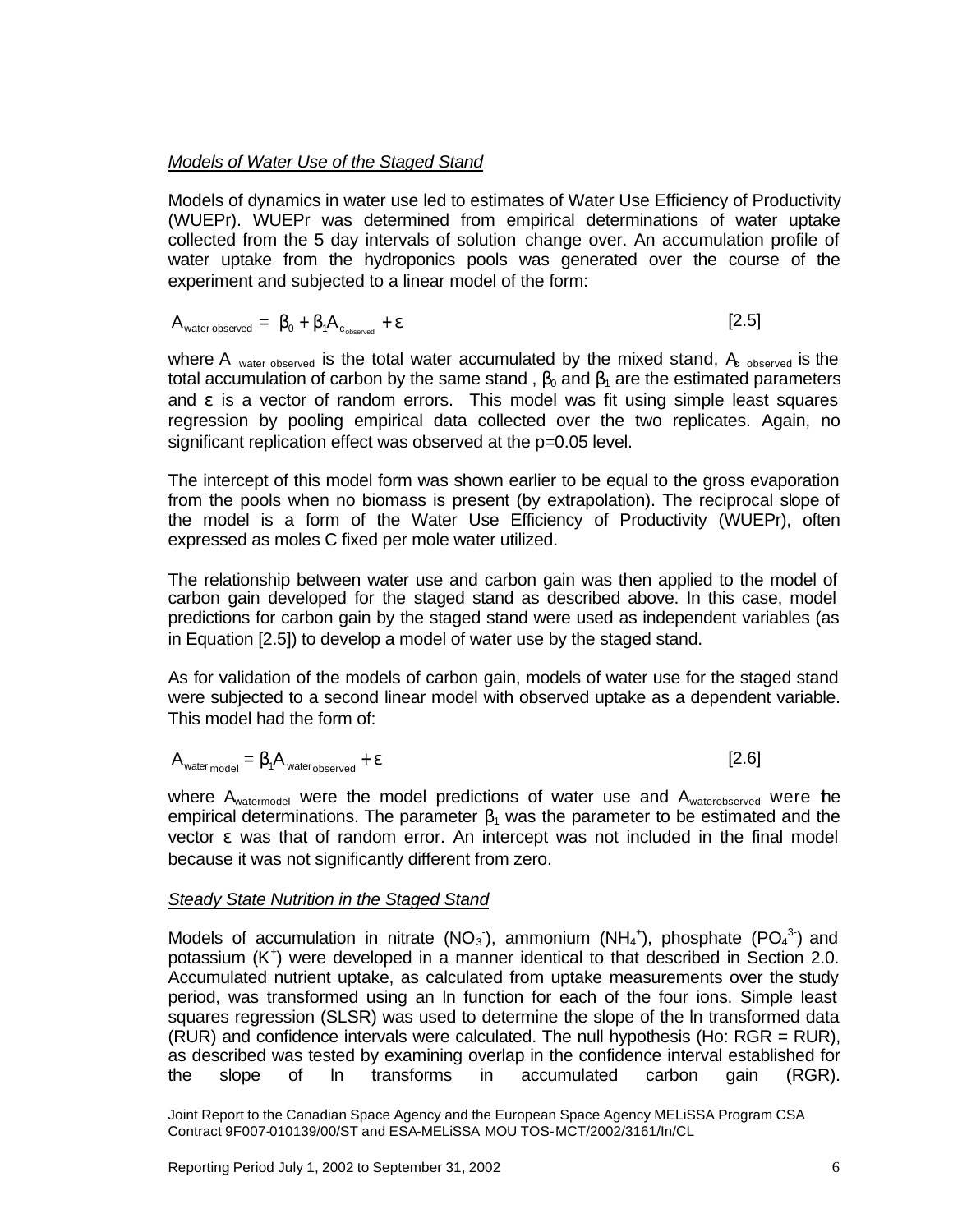#### *Models of Water Use of the Staged Stand*

Models of dynamics in water use led to estimates of Water Use Efficiency of Productivity (WUEPr). WUEPr was determined from empirical determinations of water uptake collected from the 5 day intervals of solution change over. An accumulation profile of water uptake from the hydroponics pools was generated over the course of the experiment and subjected to a linear model of the form:

$$
A_{\text{water observed}} = \boldsymbol{b}_0 + \boldsymbol{b}_1 A_{c_{\text{observed}}} + \boldsymbol{e}
$$
 [2.5]

where A <sub>water observed</sub> is the total water accumulated by the mixed stand,  $A_{c}$  observed is the total accumulation of carbon by the same stand,  $\beta_0$  and  $\beta_1$  are the estimated parameters and  $\epsilon$  is a vector of random errors. This model was fit using simple least squares regression by pooling empirical data collected over the two replicates. Again, no significant replication effect was observed at the p=0.05 level.

The intercept of this model form was shown earlier to be equal to the gross evaporation from the pools when no biomass is present (by extrapolation). The reciprocal slope of the model is a form of the Water Use Efficiency of Productivity (WUEPr), often expressed as moles C fixed per mole water utilized.

The relationship between water use and carbon gain was then applied to the model of carbon gain developed for the staged stand as described above. In this case, model predictions for carbon gain by the staged stand were used as independent variables (as in Equation [2.5]) to develop a model of water use by the staged stand.

As for validation of the models of carbon gain, models of water use for the staged stand were subjected to a second linear model with observed uptake as a dependent variable. This model had the form of:

$$
A_{\text{water model}} = \boldsymbol{b}_1 A_{\text{water observed}} + \boldsymbol{e}
$$
 [2.6]

where  $A_{watermodel}$  were the model predictions of water use and  $A_{waterobserved}$  were the empirical determinations. The parameter  $\beta_1$  was the parameter to be estimated and the vector ε was that of random error. An intercept was not included in the final model because it was not significantly different from zero.

#### *Steady State Nutrition in the Staged Stand*

Models of accumulation in nitrate (NO<sub>3</sub>), ammonium (NH<sub>4</sub><sup>+</sup>), phosphate (PO<sub>4</sub><sup>3</sup>) and potassium (K<sup>+</sup>) were developed in a manner identical to that described in Section 2.0. Accumulated nutrient uptake, as calculated from uptake measurements over the study period, was transformed using an ln function for each of the four ions. Simple least squares regression (SLSR) was used to determine the slope of the ln transformed data (RUR) and confidence intervals were calculated. The null hypothesis (Ho: RGR = RUR), as described was tested by examining overlap in the confidence interval established for the slope of ln transforms in accumulated carbon gain (RGR).

Joint Report to the Canadian Space Agency and the European Space Agency MELiSSA Program CSA Contract 9F007-010139/00/ST and ESA-MELiSSA MOU TOS-MCT/2002/3161/In/CL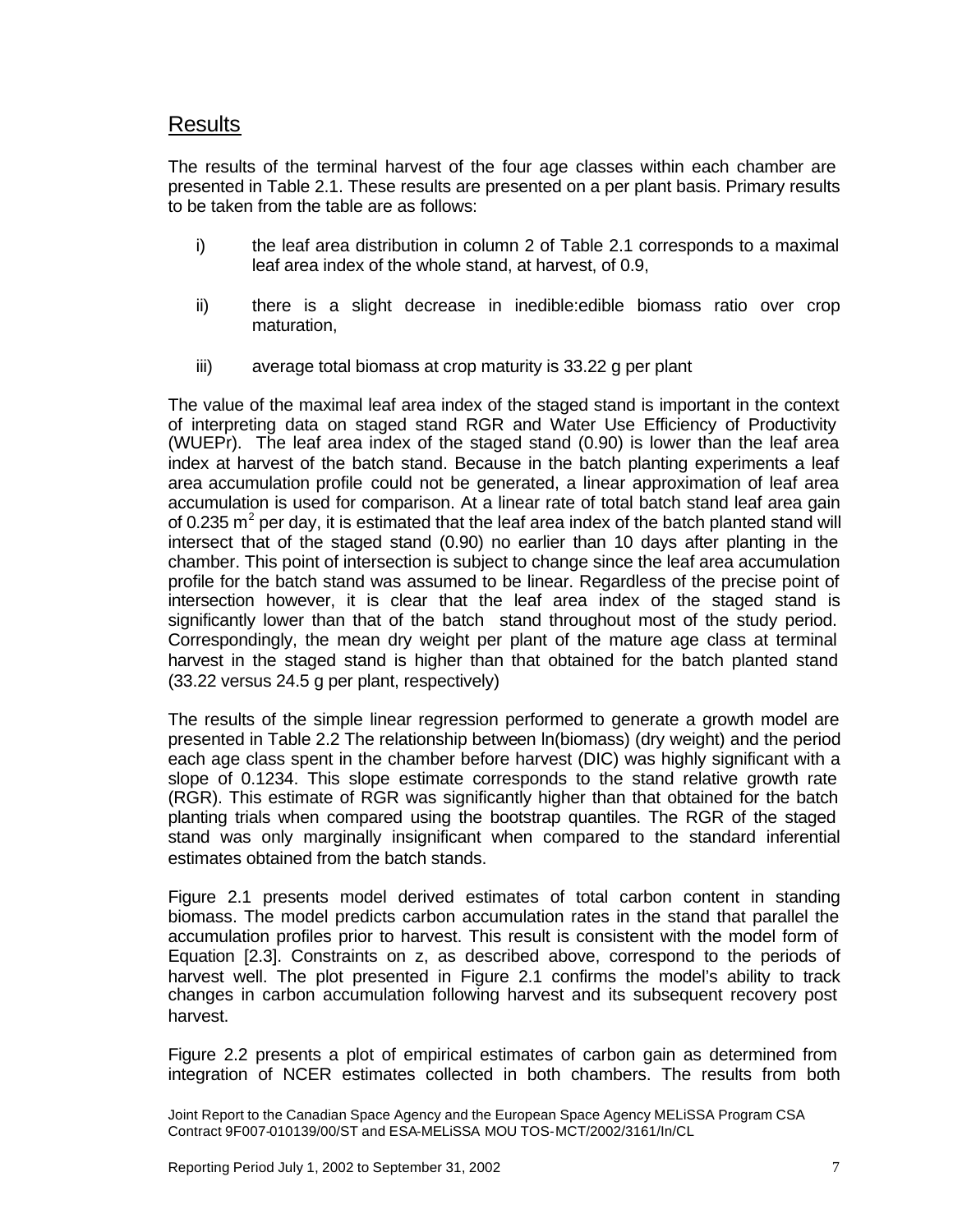### Results

The results of the terminal harvest of the four age classes within each chamber are presented in Table 2.1. These results are presented on a per plant basis. Primary results to be taken from the table are as follows:

- i) the leaf area distribution in column 2 of Table 2.1 corresponds to a maximal leaf area index of the whole stand, at harvest, of 0.9,
- ii) there is a slight decrease in inedible:edible biomass ratio over crop maturation,
- iii) average total biomass at crop maturity is 33.22 g per plant

The value of the maximal leaf area index of the staged stand is important in the context of interpreting data on staged stand RGR and Water Use Efficiency of Productivity (WUEPr). The leaf area index of the staged stand (0.90) is lower than the leaf area index at harvest of the batch stand. Because in the batch planting experiments a leaf area accumulation profile could not be generated, a linear approximation of leaf area accumulation is used for comparison. At a linear rate of total batch stand leaf area gain of 0.235 m<sup>2</sup> per day, it is estimated that the leaf area index of the batch planted stand will intersect that of the staged stand (0.90) no earlier than 10 days after planting in the chamber. This point of intersection is subject to change since the leaf area accumulation profile for the batch stand was assumed to be linear. Regardless of the precise point of intersection however, it is clear that the leaf area index of the staged stand is significantly lower than that of the batch stand throughout most of the study period. Correspondingly, the mean dry weight per plant of the mature age class at terminal harvest in the staged stand is higher than that obtained for the batch planted stand (33.22 versus 24.5 g per plant, respectively)

The results of the simple linear regression performed to generate a growth model are presented in Table 2.2 The relationship between ln(biomass) (dry weight) and the period each age class spent in the chamber before harvest (DIC) was highly significant with a slope of 0.1234. This slope estimate corresponds to the stand relative growth rate (RGR). This estimate of RGR was significantly higher than that obtained for the batch planting trials when compared using the bootstrap quantiles. The RGR of the staged stand was only marginally insignificant when compared to the standard inferential estimates obtained from the batch stands.

Figure 2.1 presents model derived estimates of total carbon content in standing biomass. The model predicts carbon accumulation rates in the stand that parallel the accumulation profiles prior to harvest. This result is consistent with the model form of Equation [2.3]. Constraints on z, as described above, correspond to the periods of harvest well. The plot presented in Figure 2.1 confirms the model's ability to track changes in carbon accumulation following harvest and its subsequent recovery post harvest.

Figure 2.2 presents a plot of empirical estimates of carbon gain as determined from integration of NCER estimates collected in both chambers. The results from both

Joint Report to the Canadian Space Agency and the European Space Agency MELiSSA Program CSA Contract 9F007-010139/00/ST and ESA-MELiSSA MOU TOS-MCT/2002/3161/In/CL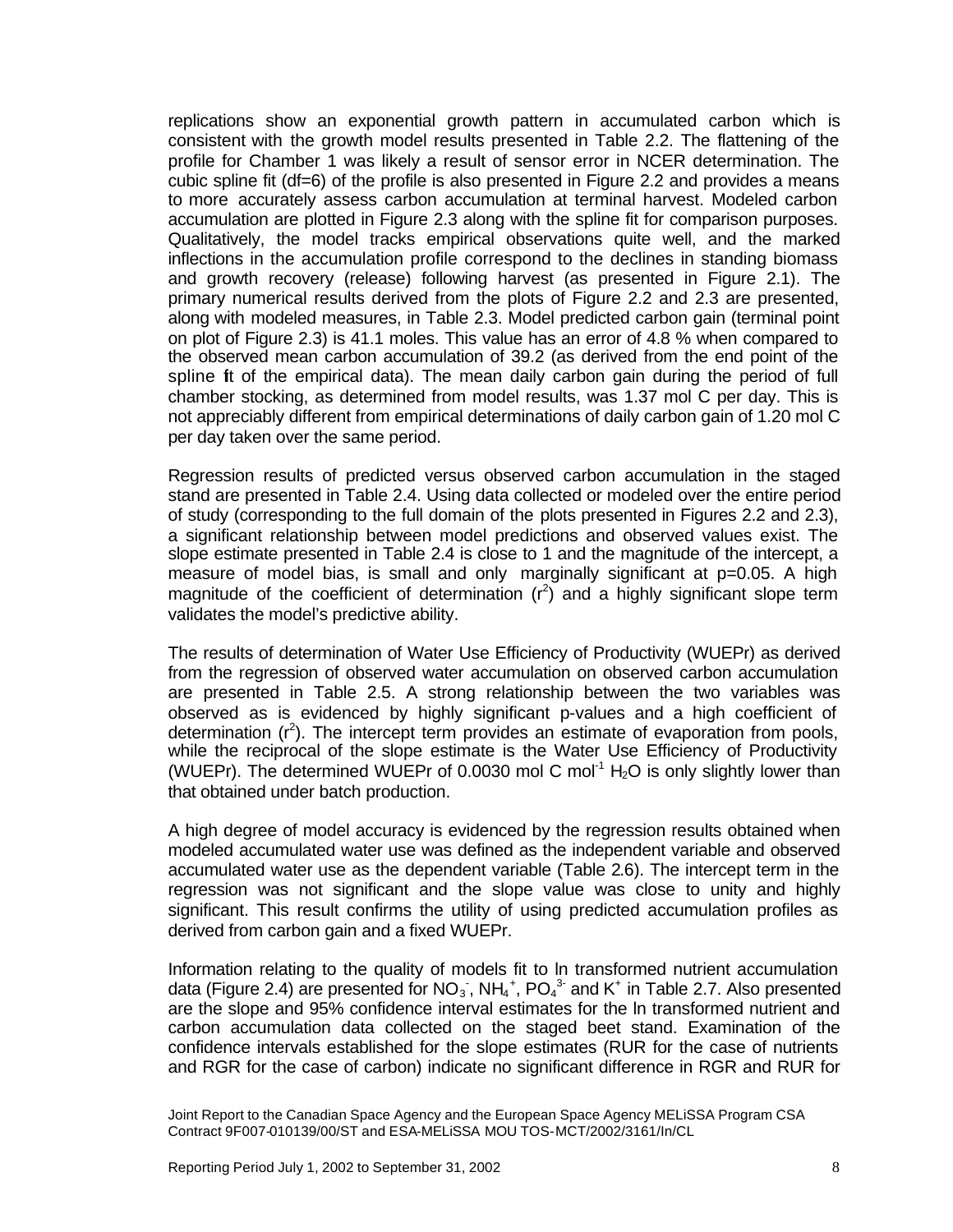replications show an exponential growth pattern in accumulated carbon which is consistent with the growth model results presented in Table 2.2. The flattening of the profile for Chamber 1 was likely a result of sensor error in NCER determination. The cubic spline fit (df=6) of the profile is also presented in Figure 2.2 and provides a means to more accurately assess carbon accumulation at terminal harvest. Modeled carbon accumulation are plotted in Figure 2.3 along with the spline fit for comparison purposes. Qualitatively, the model tracks empirical observations quite well, and the marked inflections in the accumulation profile correspond to the declines in standing biomass and growth recovery (release) following harvest (as presented in Figure 2.1). The primary numerical results derived from the plots of Figure 2.2 and 2.3 are presented, along with modeled measures, in Table 2.3. Model predicted carbon gain (terminal point on plot of Figure 2.3) is 41.1 moles. This value has an error of 4.8 % when compared to the observed mean carbon accumulation of 39.2 (as derived from the end point of the spline fit of the empirical data). The mean daily carbon gain during the period of full chamber stocking, as determined from model results, was 1.37 mol C per day. This is not appreciably different from empirical determinations of daily carbon gain of 1.20 mol C per day taken over the same period.

Regression results of predicted versus observed carbon accumulation in the staged stand are presented in Table 2.4. Using data collected or modeled over the entire period of study (corresponding to the full domain of the plots presented in Figures 2.2 and 2.3), a significant relationship between model predictions and observed values exist. The slope estimate presented in Table 2.4 is close to 1 and the magnitude of the intercept, a measure of model bias, is small and only marginally significant at p=0.05. A high magnitude of the coefficient of determination  $(r^2)$  and a highly significant slope term validates the model's predictive ability.

The results of determination of Water Use Efficiency of Productivity (WUEPr) as derived from the regression of observed water accumulation on observed carbon accumulation are presented in Table 2.5. A strong relationship between the two variables was observed as is evidenced by highly significant p-values and a high coefficient of determination  $(r^2)$ . The intercept term provides an estimate of evaporation from pools, while the reciprocal of the slope estimate is the Water Use Efficiency of Productivity (WUEPr). The determined WUEPr of 0.0030 mol C mol<sup>-1</sup> H<sub>2</sub>O is only slightly lower than that obtained under batch production.

A high degree of model accuracy is evidenced by the regression results obtained when modeled accumulated water use was defined as the independent variable and observed accumulated water use as the dependent variable (Table 2.6). The intercept term in the regression was not significant and the slope value was close to unity and highly significant. This result confirms the utility of using predicted accumulation profiles as derived from carbon gain and a fixed WUEPr.

Information relating to the quality of models fit to ln transformed nutrient accumulation data (Figure 2.4) are presented for NO<sub>3</sub>, NH<sub>4</sub><sup>+</sup>, PO<sub>4</sub><sup>3</sup> and K<sup>+</sup> in Table 2.7. Also presented are the slope and 95% confidence interval estimates for the ln transformed nutrient and carbon accumulation data collected on the staged beet stand. Examination of the confidence intervals established for the slope estimates (RUR for the case of nutrients and RGR for the case of carbon) indicate no significant difference in RGR and RUR for

Joint Report to the Canadian Space Agency and the European Space Agency MELiSSA Program CSA Contract 9F007-010139/00/ST and ESA-MELiSSA MOU TOS-MCT/2002/3161/In/CL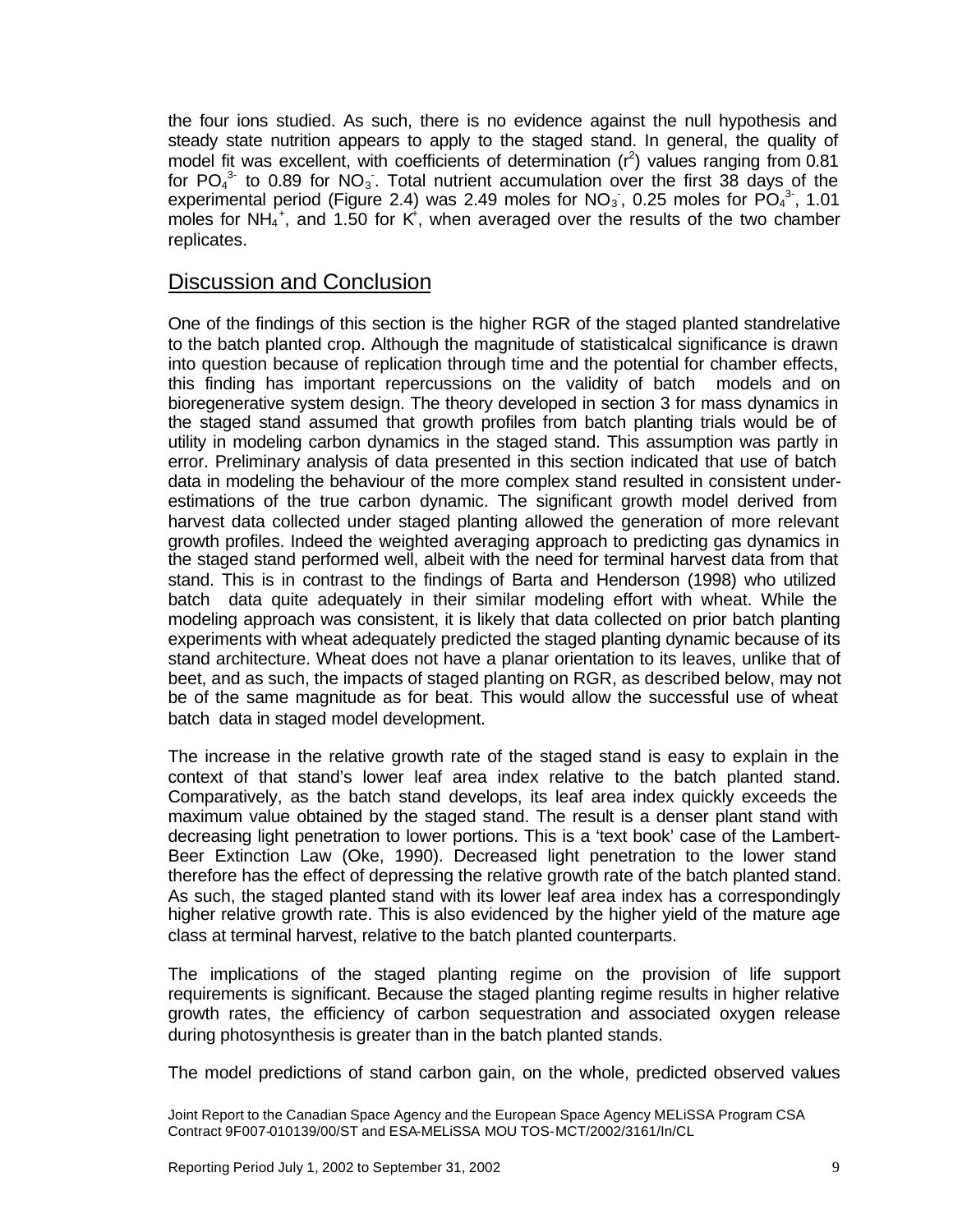the four ions studied. As such, there is no evidence against the null hypothesis and steady state nutrition appears to apply to the staged stand. In general, the quality of model fit was excellent, with coefficients of determination  $(r^2)$  values ranging from 0.81 for  $PO_4^3$  to 0.89 for  $NO_3$ . Total nutrient accumulation over the first 38 days of the experimental period (Figure 2.4) was 2.49 moles for  $NO<sub>3</sub>$ , 0.25 moles for  $PO<sub>4</sub><sup>3</sup>$ , 1.01 moles for NH<sub>4</sub><sup>+</sup>, and 1.50 for K<sup>+</sup>, when averaged over the results of the two chamber replicates.

### Discussion and Conclusion

One of the findings of this section is the higher RGR of the staged planted standrelative to the batch planted crop. Although the magnitude of statisticalcal significance is drawn into question because of replication through time and the potential for chamber effects, this finding has important repercussions on the validity of batch models and on bioregenerative system design. The theory developed in section 3 for mass dynamics in the staged stand assumed that growth profiles from batch planting trials would be of utility in modeling carbon dynamics in the staged stand. This assumption was partly in error. Preliminary analysis of data presented in this section indicated that use of batch data in modeling the behaviour of the more complex stand resulted in consistent underestimations of the true carbon dynamic. The significant growth model derived from harvest data collected under staged planting allowed the generation of more relevant growth profiles. Indeed the weighted averaging approach to predicting gas dynamics in the staged stand performed well, albeit with the need for terminal harvest data from that stand. This is in contrast to the findings of Barta and Henderson (1998) who utilized batch data quite adequately in their similar modeling effort with wheat. While the modeling approach was consistent, it is likely that data collected on prior batch planting experiments with wheat adequately predicted the staged planting dynamic because of its stand architecture. Wheat does not have a planar orientation to its leaves, unlike that of beet, and as such, the impacts of staged planting on RGR, as described below, may not be of the same magnitude as for beat. This would allow the successful use of wheat batch data in staged model development.

The increase in the relative growth rate of the staged stand is easy to explain in the context of that stand's lower leaf area index relative to the batch planted stand. Comparatively, as the batch stand develops, its leaf area index quickly exceeds the maximum value obtained by the staged stand. The result is a denser plant stand with decreasing light penetration to lower portions. This is a 'text book' case of the Lambert-Beer Extinction Law (Oke, 1990). Decreased light penetration to the lower stand therefore has the effect of depressing the relative growth rate of the batch planted stand. As such, the staged planted stand with its lower leaf area index has a correspondingly higher relative growth rate. This is also evidenced by the higher yield of the mature age class at terminal harvest, relative to the batch planted counterparts.

The implications of the staged planting regime on the provision of life support requirements is significant. Because the staged planting regime results in higher relative growth rates, the efficiency of carbon sequestration and associated oxygen release during photosynthesis is greater than in the batch planted stands.

The model predictions of stand carbon gain, on the whole, predicted observed values

Joint Report to the Canadian Space Agency and the European Space Agency MELiSSA Program CSA Contract 9F007-010139/00/ST and ESA-MELiSSA MOU TOS-MCT/2002/3161/In/CL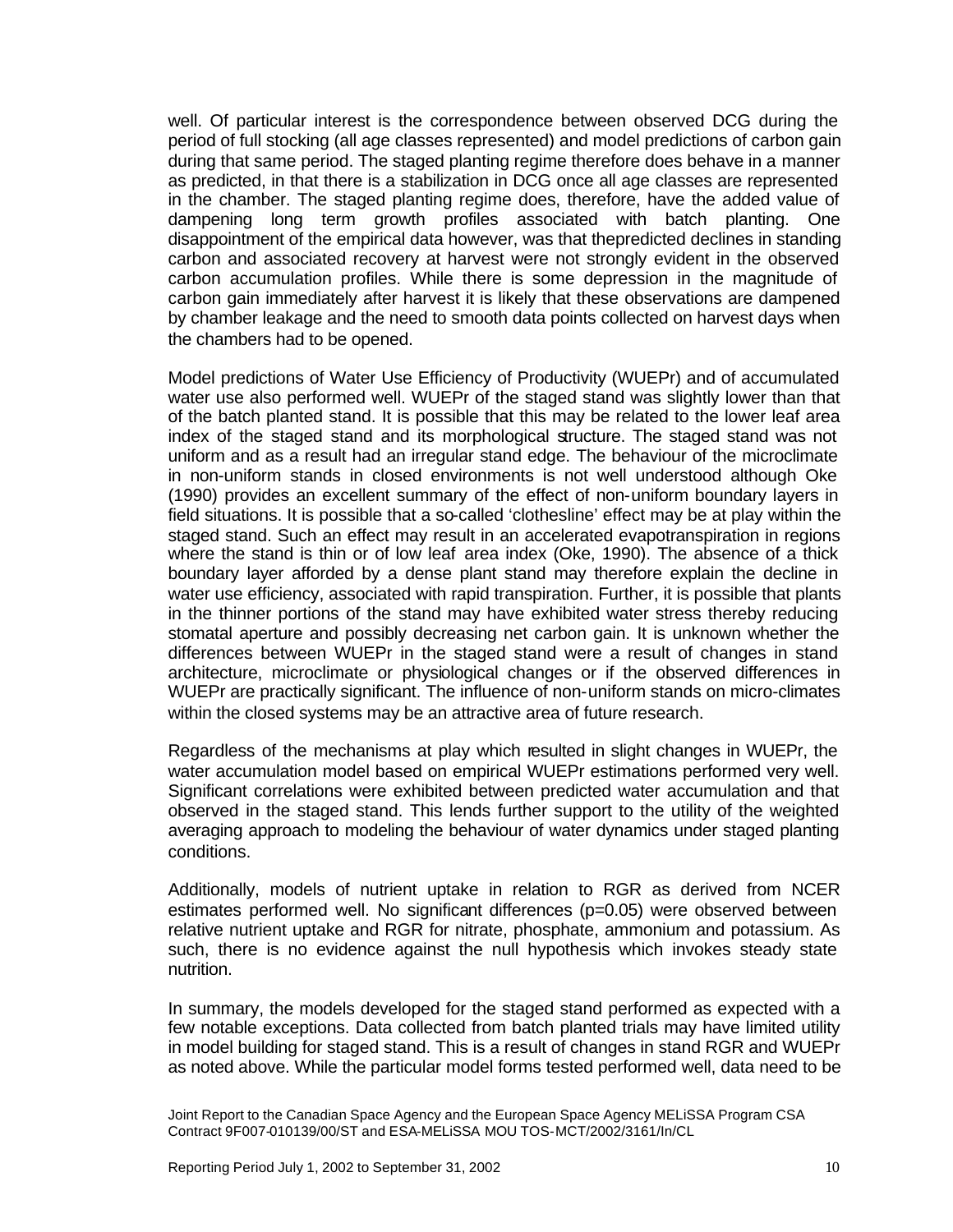well. Of particular interest is the correspondence between observed DCG during the period of full stocking (all age classes represented) and model predictions of carbon gain during that same period. The staged planting regime therefore does behave in a manner as predicted, in that there is a stabilization in DCG once all age classes are represented in the chamber. The staged planting regime does, therefore, have the added value of dampening long term growth profiles associated with batch planting. One disappointment of the empirical data however, was that thepredicted declines in standing carbon and associated recovery at harvest were not strongly evident in the observed carbon accumulation profiles. While there is some depression in the magnitude of carbon gain immediately after harvest it is likely that these observations are dampened by chamber leakage and the need to smooth data points collected on harvest days when the chambers had to be opened.

Model predictions of Water Use Efficiency of Productivity (WUEPr) and of accumulated water use also performed well. WUEPr of the staged stand was slightly lower than that of the batch planted stand. It is possible that this may be related to the lower leaf area index of the staged stand and its morphological structure. The staged stand was not uniform and as a result had an irregular stand edge. The behaviour of the microclimate in non-uniform stands in closed environments is not well understood although Oke (1990) provides an excellent summary of the effect of non-uniform boundary layers in field situations. It is possible that a so-called 'clothesline' effect may be at play within the staged stand. Such an effect may result in an accelerated evapotranspiration in regions where the stand is thin or of low leaf area index (Oke, 1990). The absence of a thick boundary layer afforded by a dense plant stand may therefore explain the decline in water use efficiency, associated with rapid transpiration. Further, it is possible that plants in the thinner portions of the stand may have exhibited water stress thereby reducing stomatal aperture and possibly decreasing net carbon gain. It is unknown whether the differences between WUEPr in the staged stand were a result of changes in stand architecture, microclimate or physiological changes or if the observed differences in WUEPr are practically significant. The influence of non-uniform stands on micro-climates within the closed systems may be an attractive area of future research.

Regardless of the mechanisms at play which resulted in slight changes in WUEPr, the water accumulation model based on empirical WUEPr estimations performed very well. Significant correlations were exhibited between predicted water accumulation and that observed in the staged stand. This lends further support to the utility of the weighted averaging approach to modeling the behaviour of water dynamics under staged planting conditions.

Additionally, models of nutrient uptake in relation to RGR as derived from NCER estimates performed well. No significant differences (p=0.05) were observed between relative nutrient uptake and RGR for nitrate, phosphate, ammonium and potassium. As such, there is no evidence against the null hypothesis which invokes steady state nutrition.

In summary, the models developed for the staged stand performed as expected with a few notable exceptions. Data collected from batch planted trials may have limited utility in model building for staged stand. This is a result of changes in stand RGR and WUEPr as noted above. While the particular model forms tested performed well, data need to be

Joint Report to the Canadian Space Agency and the European Space Agency MELiSSA Program CSA Contract 9F007-010139/00/ST and ESA-MELiSSA MOU TOS-MCT/2002/3161/In/CL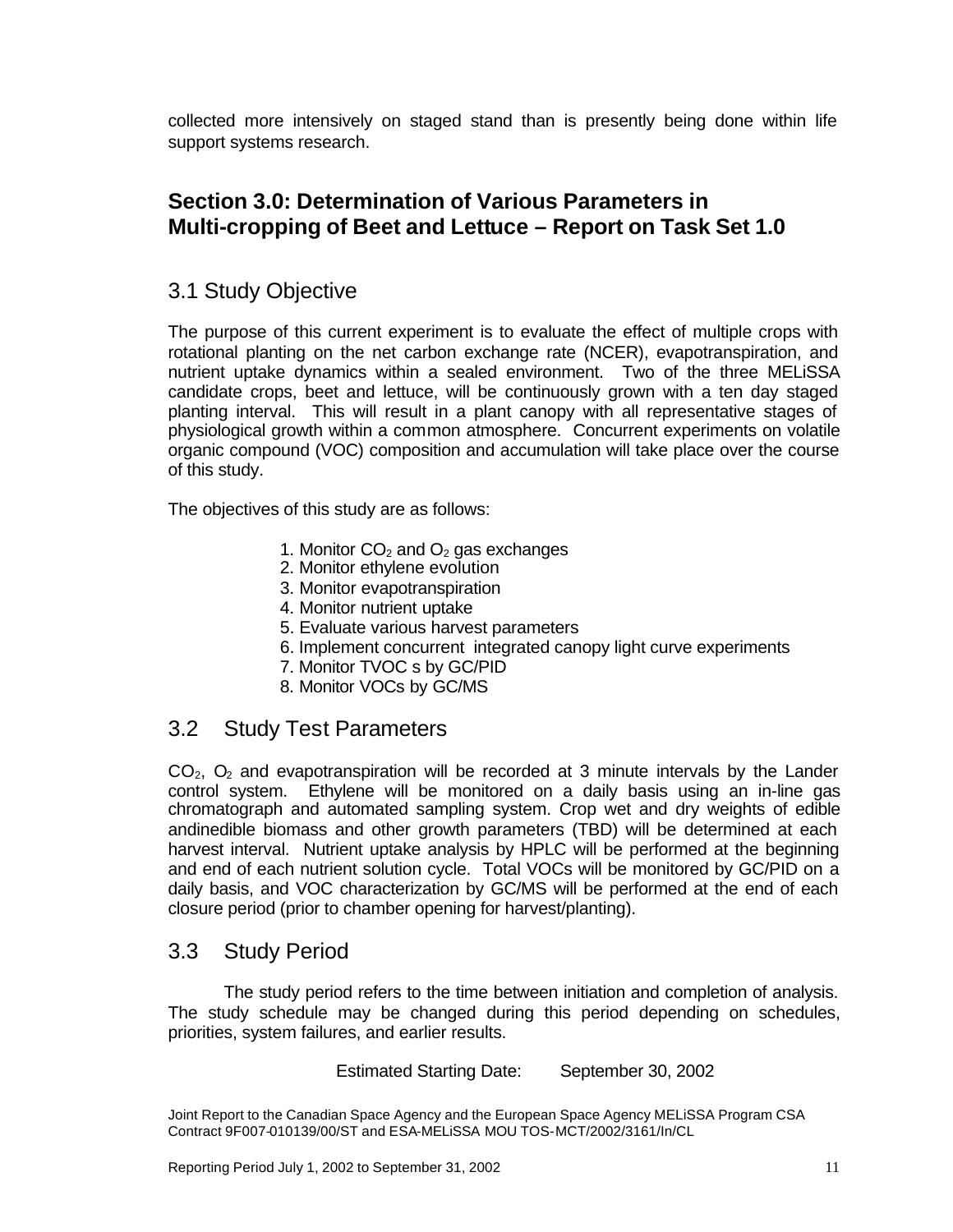collected more intensively on staged stand than is presently being done within life support systems research.

# **Section 3.0: Determination of Various Parameters in Multi-cropping of Beet and Lettuce – Report on Task Set 1.0**

# 3.1 Study Objective

The purpose of this current experiment is to evaluate the effect of multiple crops with rotational planting on the net carbon exchange rate (NCER), evapotranspiration, and nutrient uptake dynamics within a sealed environment. Two of the three MELiSSA candidate crops, beet and lettuce, will be continuously grown with a ten day staged planting interval. This will result in a plant canopy with all representative stages of physiological growth within a common atmosphere. Concurrent experiments on volatile organic compound (VOC) composition and accumulation will take place over the course of this study.

The objectives of this study are as follows:

- 1. Monitor  $CO<sub>2</sub>$  and  $O<sub>2</sub>$  gas exchanges
- 2. Monitor ethylene evolution
- 3. Monitor evapotranspiration
- 4. Monitor nutrient uptake
- 5. Evaluate various harvest parameters
- 6. Implement concurrent integrated canopy light curve experiments
- 7. Monitor TVOC s by GC/PID
- 8. Monitor VOCs by GC/MS

# 3.2 Study Test Parameters

 $CO<sub>2</sub>$ ,  $O<sub>2</sub>$  and evapotranspiration will be recorded at 3 minute intervals by the Lander control system. Ethylene will be monitored on a daily basis using an in-line gas chromatograph and automated sampling system. Crop wet and dry weights of edible andinedible biomass and other growth parameters (TBD) will be determined at each harvest interval. Nutrient uptake analysis by HPLC will be performed at the beginning and end of each nutrient solution cycle. Total VOCs will be monitored by GC/PID on a daily basis, and VOC characterization by GC/MS will be performed at the end of each closure period (prior to chamber opening for harvest/planting).

### 3.3 Study Period

The study period refers to the time between initiation and completion of analysis. The study schedule may be changed during this period depending on schedules, priorities, system failures, and earlier results.

Estimated Starting Date: September 30, 2002

Joint Report to the Canadian Space Agency and the European Space Agency MELiSSA Program CSA Contract 9F007-010139/00/ST and ESA-MELiSSA MOU TOS-MCT/2002/3161/In/CL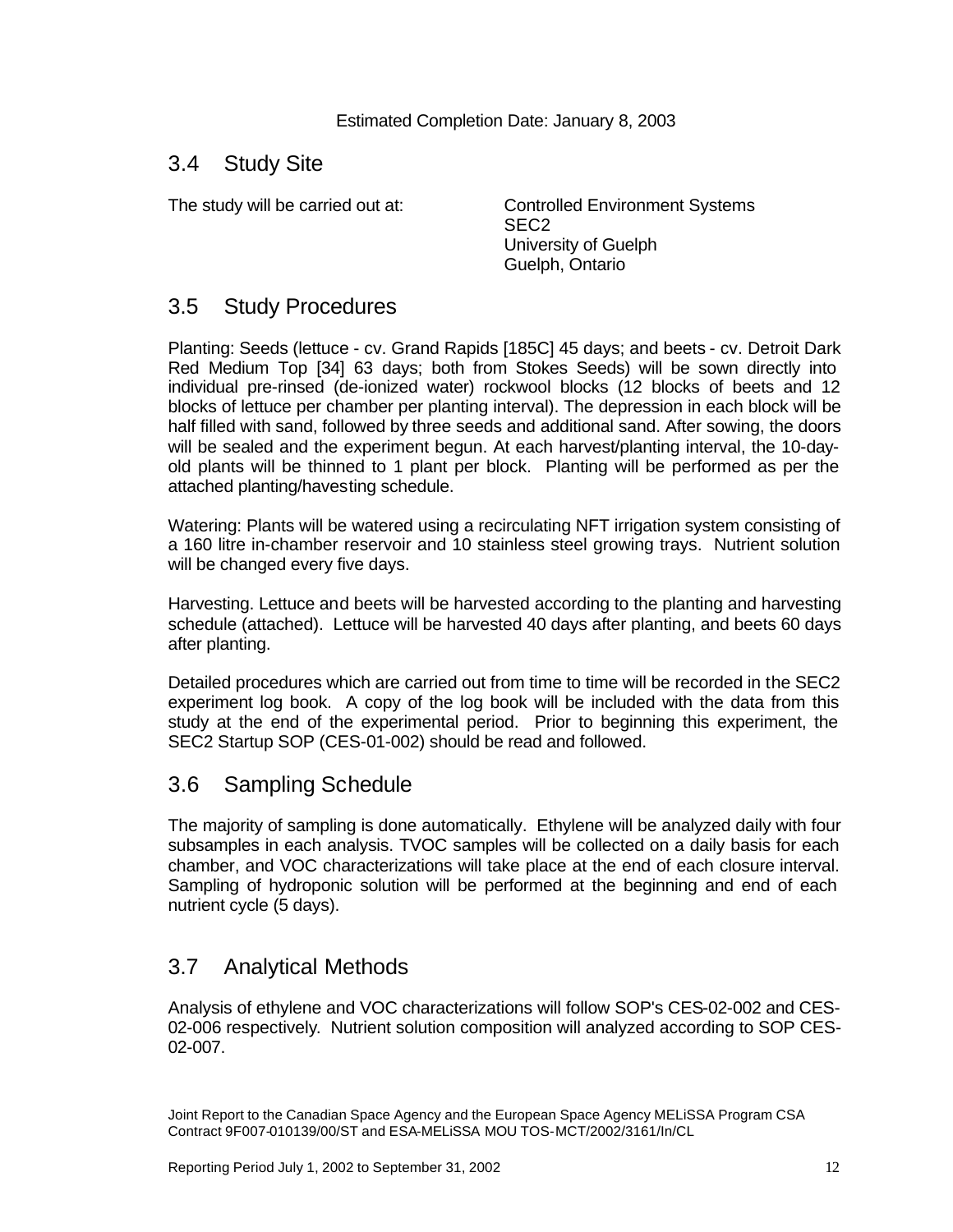Estimated Completion Date: January 8, 2003

### 3.4 Study Site

The study will be carried out at: Controlled Environment Systems SEC2 University of Guelph Guelph, Ontario

# 3.5 Study Procedures

Planting: Seeds (lettuce - cv. Grand Rapids [185C] 45 days; and beets - cv. Detroit Dark Red Medium Top [34] 63 days; both from Stokes Seeds) will be sown directly into individual pre-rinsed (de-ionized water) rockwool blocks (12 blocks of beets and 12 blocks of lettuce per chamber per planting interval). The depression in each block will be half filled with sand, followed by three seeds and additional sand. After sowing, the doors will be sealed and the experiment begun. At each harvest/planting interval, the 10-dayold plants will be thinned to 1 plant per block. Planting will be performed as per the attached planting/havesting schedule.

Watering: Plants will be watered using a recirculating NFT irrigation system consisting of a 160 litre in-chamber reservoir and 10 stainless steel growing trays. Nutrient solution will be changed every five days.

Harvesting. Lettuce and beets will be harvested according to the planting and harvesting schedule (attached). Lettuce will be harvested 40 days after planting, and beets 60 days after planting.

Detailed procedures which are carried out from time to time will be recorded in the SEC2 experiment log book. A copy of the log book will be included with the data from this study at the end of the experimental period. Prior to beginning this experiment, the SEC2 Startup SOP (CES-01-002) should be read and followed.

# 3.6 Sampling Schedule

The majority of sampling is done automatically. Ethylene will be analyzed daily with four subsamples in each analysis. TVOC samples will be collected on a daily basis for each chamber, and VOC characterizations will take place at the end of each closure interval. Sampling of hydroponic solution will be performed at the beginning and end of each nutrient cycle (5 days).

# 3.7 Analytical Methods

Analysis of ethylene and VOC characterizations will follow SOP's CES-02-002 and CES-02-006 respectively. Nutrient solution composition will analyzed according to SOP CES-02-007.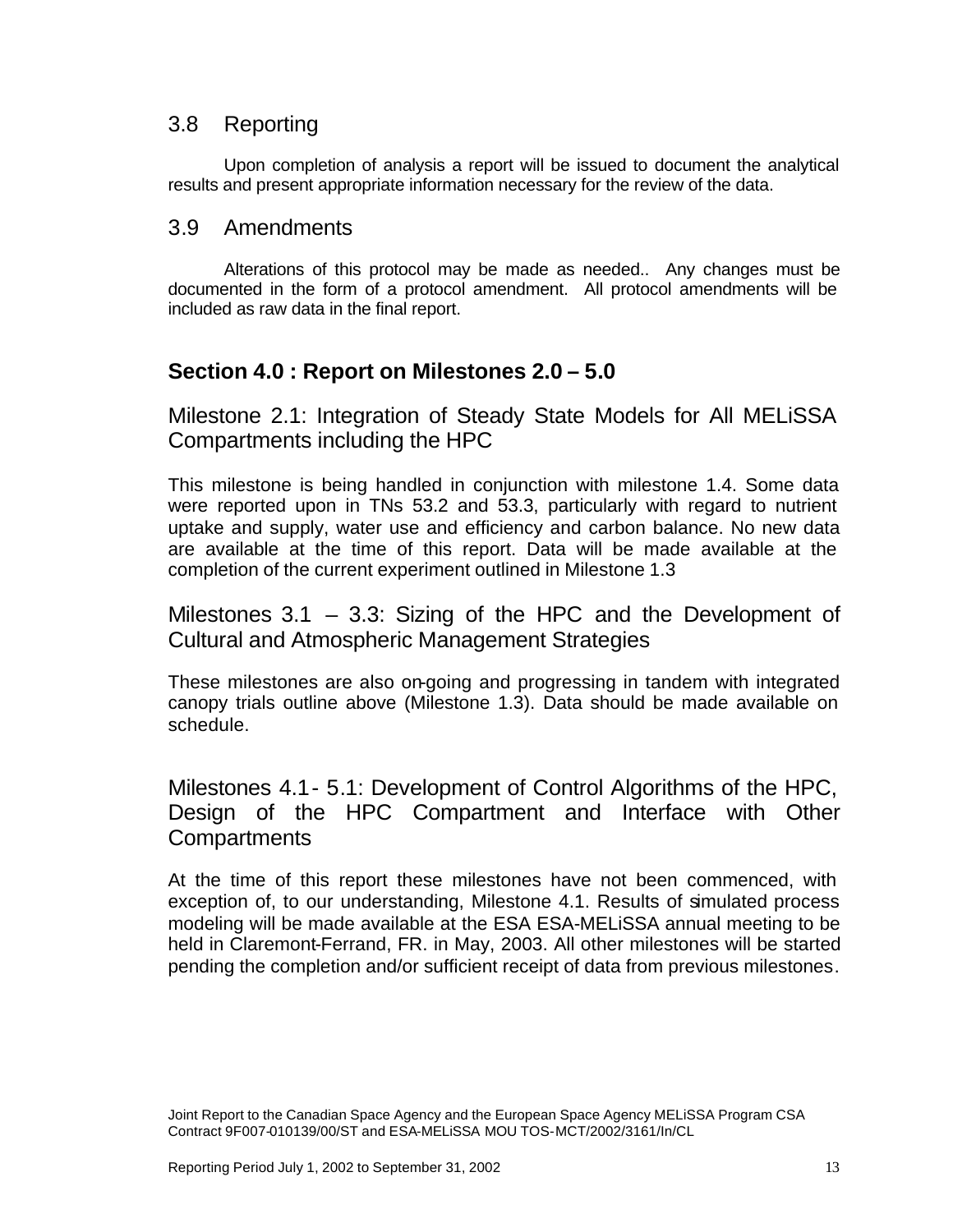### 3.8 Reporting

Upon completion of analysis a report will be issued to document the analytical results and present appropriate information necessary for the review of the data.

### 3.9 Amendments

Alterations of this protocol may be made as needed.. Any changes must be documented in the form of a protocol amendment. All protocol amendments will be included as raw data in the final report.

# **Section 4.0 : Report on Milestones 2.0 – 5.0**

Milestone 2.1: Integration of Steady State Models for All MELiSSA Compartments including the HPC

This milestone is being handled in conjunction with milestone 1.4. Some data were reported upon in TNs 53.2 and 53.3, particularly with regard to nutrient uptake and supply, water use and efficiency and carbon balance. No new data are available at the time of this report. Data will be made available at the completion of the current experiment outlined in Milestone 1.3

Milestones 3.1 – 3.3: Sizing of the HPC and the Development of Cultural and Atmospheric Management Strategies

These milestones are also on-going and progressing in tandem with integrated canopy trials outline above (Milestone 1.3). Data should be made available on schedule.

Milestones 4.1- 5.1: Development of Control Algorithms of the HPC, Design of the HPC Compartment and Interface with Other **Compartments** 

At the time of this report these milestones have not been commenced, with exception of, to our understanding, Milestone 4.1. Results of simulated process modeling will be made available at the ESA ESA-MELiSSA annual meeting to be held in Claremont-Ferrand, FR. in May, 2003. All other milestones will be started pending the completion and/or sufficient receipt of data from previous milestones.

Joint Report to the Canadian Space Agency and the European Space Agency MELiSSA Program CSA Contract 9F007-010139/00/ST and ESA-MELiSSA MOU TOS-MCT/2002/3161/In/CL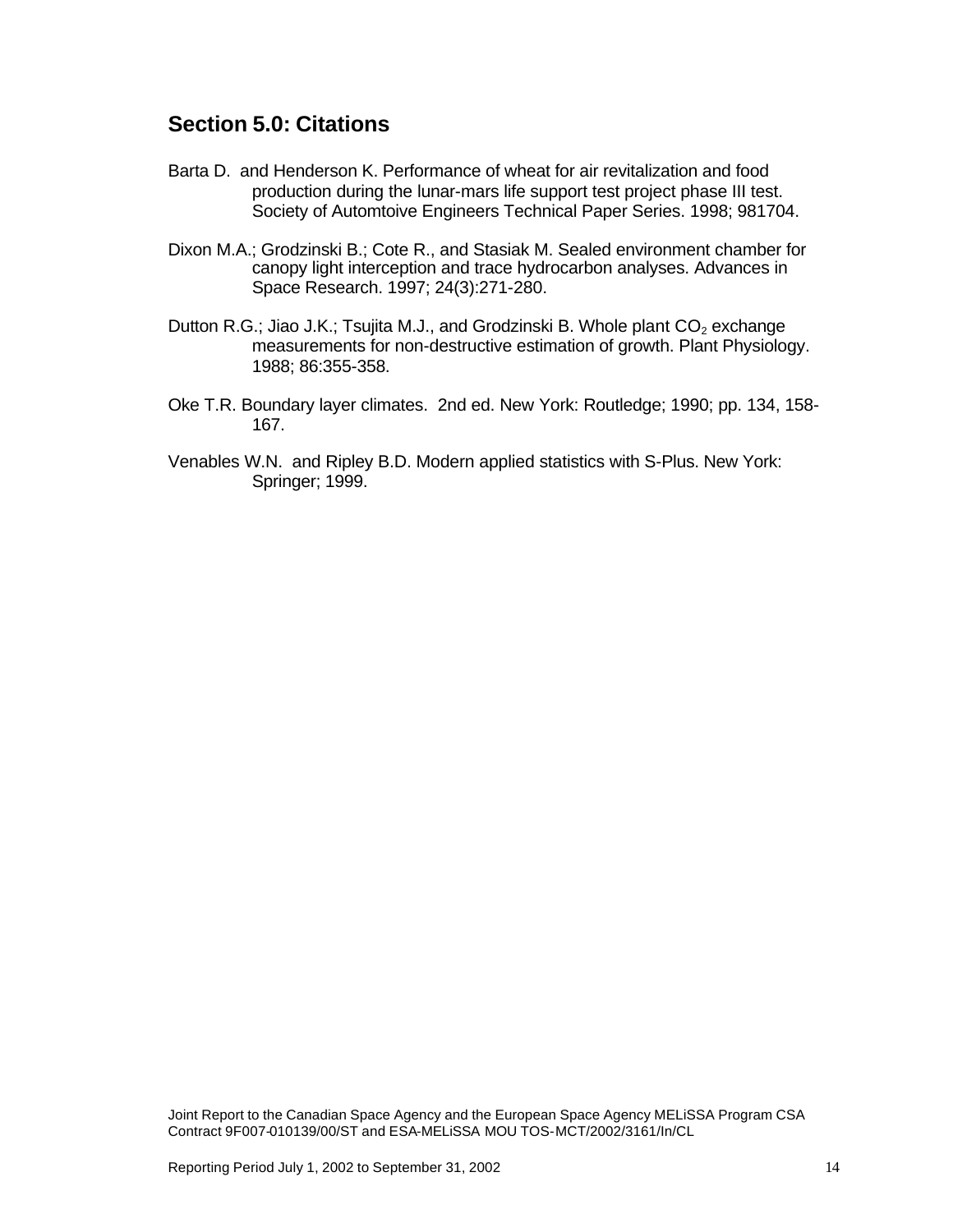# **Section 5.0: Citations**

- Barta D. and Henderson K. Performance of wheat for air revitalization and food production during the lunar-mars life support test project phase III test. Society of Automtoive Engineers Technical Paper Series. 1998; 981704.
- Dixon M.A.; Grodzinski B.; Cote R., and Stasiak M. Sealed environment chamber for canopy light interception and trace hydrocarbon analyses. Advances in Space Research. 1997; 24(3):271-280.
- Dutton R.G.; Jiao J.K.; Tsujita M.J., and Grodzinski B. Whole plant  $CO<sub>2</sub>$  exchange measurements for non-destructive estimation of growth. Plant Physiology. 1988; 86:355-358.
- Oke T.R. Boundary layer climates. 2nd ed. New York: Routledge; 1990; pp. 134, 158- 167.
- Venables W.N. and Ripley B.D. Modern applied statistics with S-Plus. New York: Springer; 1999.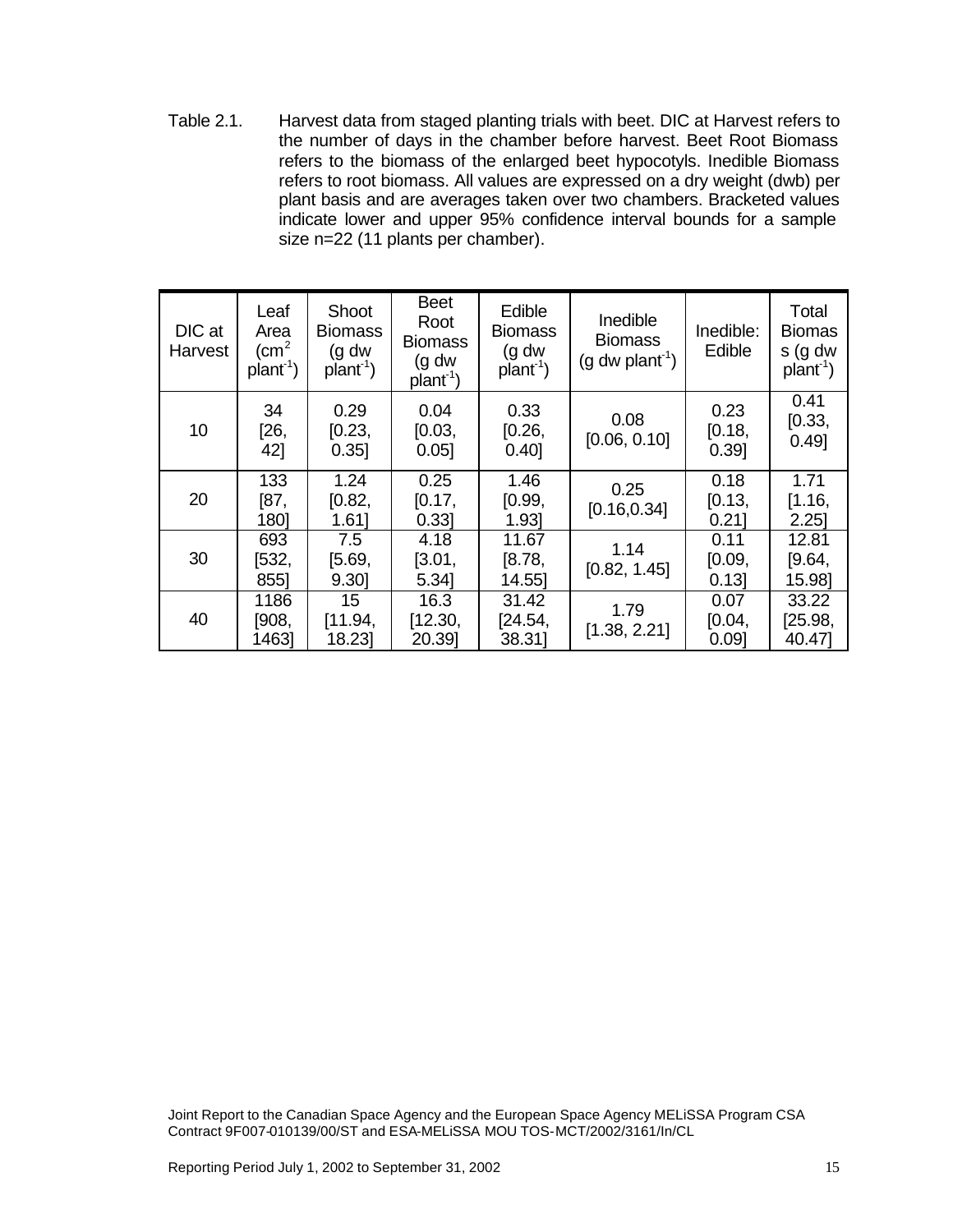Table 2.1. Harvest data from staged planting trials with beet. DIC at Harvest refers to the number of days in the chamber before harvest. Beet Root Biomass refers to the biomass of the enlarged beet hypocotyls. Inedible Biomass refers to root biomass. All values are expressed on a dry weight (dwb) per plant basis and are averages taken over two chambers. Bracketed values indicate lower and upper 95% confidence interval bounds for a sample size n=22 (11 plants per chamber).

| DIC at<br>Harvest | Leaf<br>Area<br>$\rm \ (cm^2$<br>$plan1$ ) | Shoot<br><b>Biomass</b><br>(g dw)<br>$plan1$ ) | <b>Beet</b><br>Root<br><b>Biomass</b><br>(g dw<br>$plan-1$ | Edible<br><b>Biomass</b><br>(g dw<br>$plan1$ ) | Inedible<br><b>Biomass</b><br>$(g dw$ plant <sup>-1</sup> ) | Inedible:<br>Edible    | Total<br><b>Biomas</b><br>s (g dw<br>$plan1$ ) |
|-------------------|--------------------------------------------|------------------------------------------------|------------------------------------------------------------|------------------------------------------------|-------------------------------------------------------------|------------------------|------------------------------------------------|
| 10                | 34<br>[26,<br>42]                          | 0.29<br>[0.23,<br>$0.35$ ]                     | 0.04<br>[0.03,<br>0.05                                     | 0.33<br>[0.26,<br>0.40]                        | 0.08<br>[0.06, 0.10]                                        | 0.23<br>[0.18,<br>0.39 | 0.41<br>[0.33,<br>0.49]                        |
| 20                | 133<br>[87,<br>180]                        | 1.24<br>[0.82,<br>1.61                         | 0.25<br>[0.17,<br>0.33                                     | 1.46<br>[0.99,<br>1.93                         | 0.25<br>[0.16, 0.34]                                        | 0.18<br>[0.13,<br>0.21 | 1.71<br>[1.16,<br>2.25                         |
| 30                | 693<br>[532,<br>855]                       | 7.5<br>[5.69,<br>9.30]                         | 4.18<br>[3.01,<br>5.34]                                    | 11.67<br>[8.78,<br>14.55]                      | 1.14<br>[0.82, 1.45]                                        | 0.11<br>[0.09,<br>0.13 | 12.81<br>[9.64,<br>15.98]                      |
| 40                | 1186<br>[908,<br>1463]                     | 15<br>[11.94,<br>18.23                         | 16.3<br>[12.30,<br>20.39]                                  | 31.42<br>[24.54]<br>38.31]                     | 1.79<br>[1.38, 2.21]                                        | 0.07<br>[0.04,<br>0.09 | 33.22<br>[25.98,<br>40.47]                     |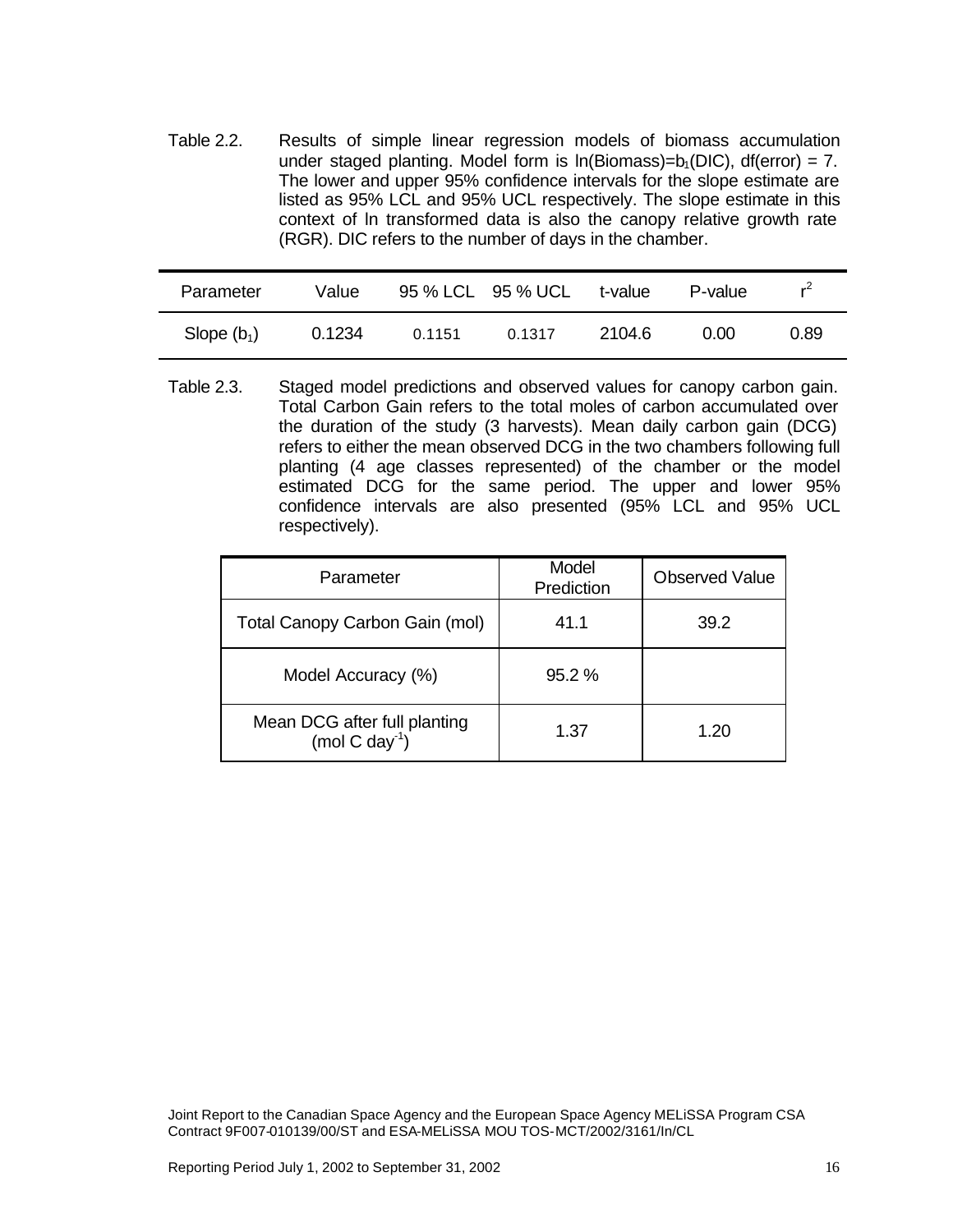Table 2.2. Results of simple linear regression models of biomass accumulation under staged planting. Model form is  $ln(Biomass)=b<sub>1</sub>(DIC)$ , df(error) = 7. The lower and upper 95% confidence intervals for the slope estimate are listed as 95% LCL and 95% UCL respectively. The slope estimate in this context of ln transformed data is also the canopy relative growth rate (RGR). DIC refers to the number of days in the chamber.

| Parameter     | Value  |        | 95 % LCL 95 % UCL | t-value | P-value | $r^2$ |
|---------------|--------|--------|-------------------|---------|---------|-------|
| Slope $(b_1)$ | 0.1234 | 0.1151 | 0.1317            | 2104.6  | 0.00    | 0.89  |

Table 2.3. Staged model predictions and observed values for canopy carbon gain. Total Carbon Gain refers to the total moles of carbon accumulated over the duration of the study (3 harvests). Mean daily carbon gain (DCG) refers to either the mean observed DCG in the two chambers following full planting (4 age classes represented) of the chamber or the model estimated DCG for the same period. The upper and lower 95% confidence intervals are also presented (95% LCL and 95% UCL respectively).

| Parameter                                                  | Model<br>Prediction | <b>Observed Value</b> |
|------------------------------------------------------------|---------------------|-----------------------|
| Total Canopy Carbon Gain (mol)                             | 41.1                | 39.2                  |
| Model Accuracy (%)                                         | $95.2\%$            |                       |
| Mean DCG after full planting<br>(mol C day <sup>-1</sup> ) | 1.37                | 1.20                  |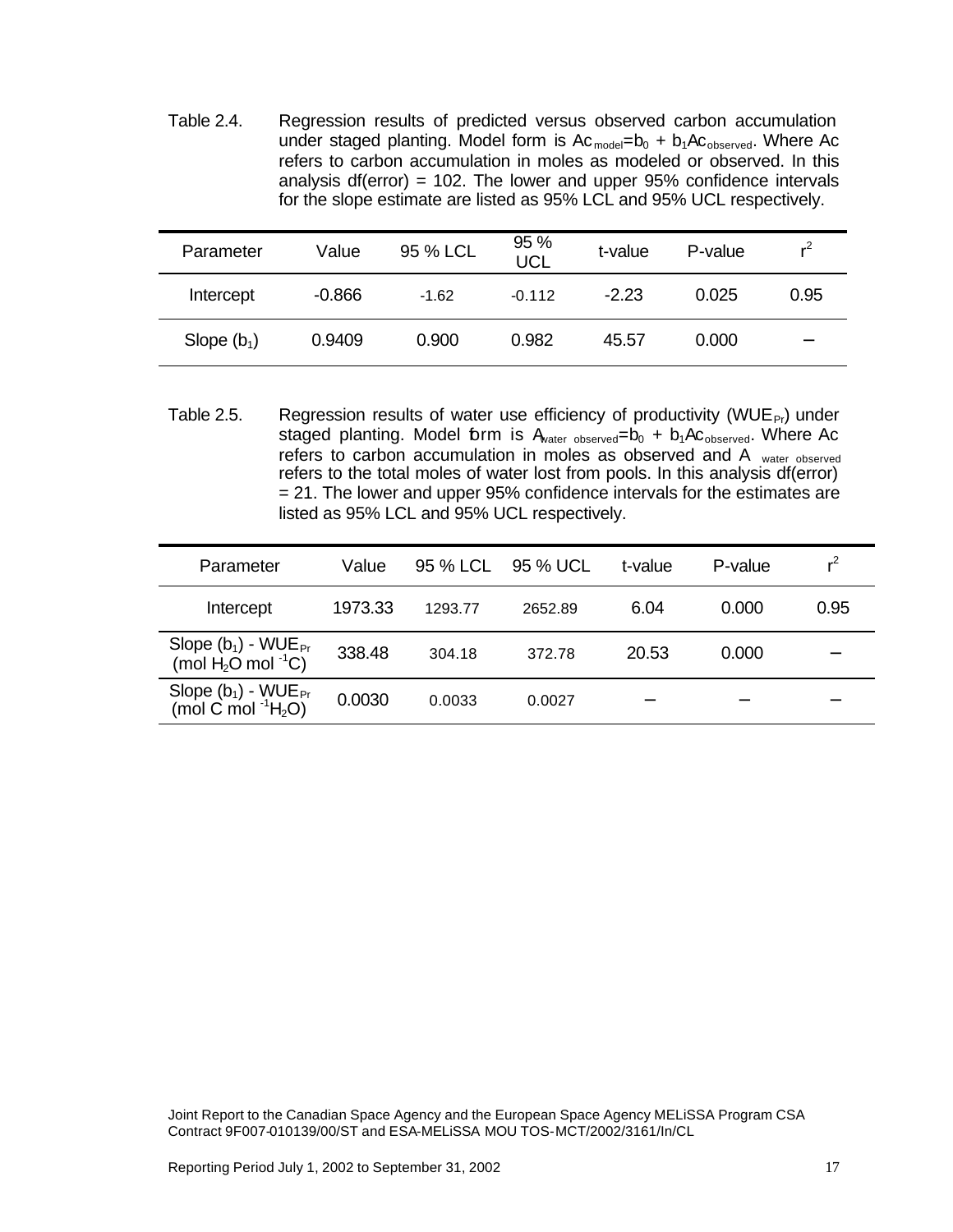Table 2.4. Regression results of predicted versus observed carbon accumulation under staged planting. Model form is  $Ac_{model}=b_0 + b_1Ac_{observed}$ . Where Ac refers to carbon accumulation in moles as modeled or observed. In this analysis df(error) = 102. The lower and upper  $95%$  confidence intervals for the slope estimate are listed as 95% LCL and 95% UCL respectively.

| Parameter     | Value    | 95 % LCL | 95 %<br><b>UCL</b> | t-value | P-value | $r^2$ |
|---------------|----------|----------|--------------------|---------|---------|-------|
| Intercept     | $-0.866$ | $-1.62$  | $-0.112$           | $-2.23$ | 0.025   | 0.95  |
| Slope $(b_1)$ | 0.9409   | 0.900    | 0.982              | 45.57   | 0.000   |       |

Table 2.5. Regression results of water use efficiency of productivity (WUE $_{\rm Pr}$ ) under staged planting. Model form is  $A<sub>water observed</sub>=b<sub>0</sub> + b<sub>1</sub>AC<sub>observed</sub>$ . Where Ac refers to carbon accumulation in moles as observed and A water observed refers to the total moles of water lost from pools. In this analysis df(error) = 21. The lower and upper 95% confidence intervals for the estimates are listed as 95% LCL and 95% UCL respectively.

| Parameter                                                        | Value   | 95 % LCL | 95 % UCL | t-value | P-value | $^{\sim}$ |
|------------------------------------------------------------------|---------|----------|----------|---------|---------|-----------|
| Intercept                                                        | 1973.33 | 1293.77  | 2652.89  | 6.04    | 0.000   | 0.95      |
| Slope $(b_1)$ - WUE <sub>Pr</sub><br>(mol $H_2O$ mol ${}^1C$ )   | 338.48  | 304.18   | 372.78   | 20.53   | 0.000   |           |
| Slope $(b_1)$ - WUE <sub>Pr</sub><br>(mol C mol ${}^{1}H_{2}O$ ) | 0.0030  | 0.0033   | 0.0027   |         |         |           |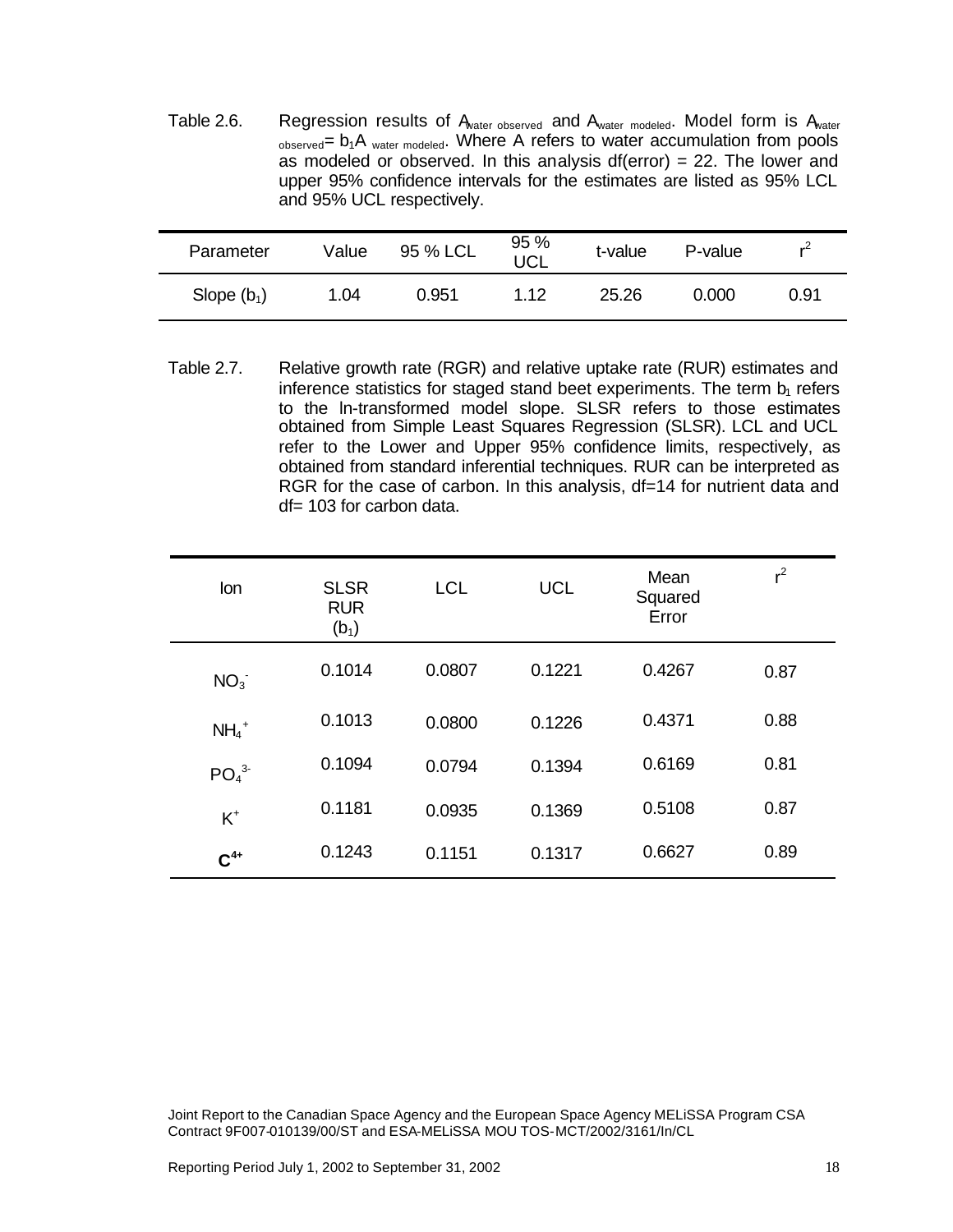Table 2.6. Regression results of Awater observed and Awater modeled. Model form is Awater  $_{observed}$ =  $b_1A$  water modeled. Where A refers to water accumulation from pools as modeled or observed. In this analysis df(error) = 22. The lower and upper 95% confidence intervals for the estimates are listed as 95% LCL and 95% UCL respectively.

| Parameter     | Value | 95 % LCL | 95 %<br><b>JCL</b> | t-value | P-value | $r^2$ |
|---------------|-------|----------|--------------------|---------|---------|-------|
| Slope $(b_1)$ | 1.04  | 0.951    | 1.12               | 25.26   | 0.000   | 0.91  |

Table 2.7. Relative growth rate (RGR) and relative uptake rate (RUR) estimates and inference statistics for staged stand beet experiments. The term  $b<sub>1</sub>$  refers to the ln-transformed model slope. SLSR refers to those estimates obtained from Simple Least Squares Regression (SLSR). LCL and UCL refer to the Lower and Upper 95% confidence limits, respectively, as obtained from standard inferential techniques. RUR can be interpreted as RGR for the case of carbon. In this analysis, df=14 for nutrient data and df= 103 for carbon data.

| Ion                          | <b>SLSR</b><br><b>RUR</b><br>$(b_1)$ | <b>LCL</b> | <b>UCL</b> | Mean<br>Squared<br>Error | $r^2$ |
|------------------------------|--------------------------------------|------------|------------|--------------------------|-------|
| NO <sub>3</sub>              | 0.1014                               | 0.0807     | 0.1221     | 0.4267                   | 0.87  |
| $NH_4$ <sup>+</sup>          | 0.1013                               | 0.0800     | 0.1226     | 0.4371                   | 0.88  |
| PO <sub>4</sub> <sup>3</sup> | 0.1094                               | 0.0794     | 0.1394     | 0.6169                   | 0.81  |
| $K^+$                        | 0.1181                               | 0.0935     | 0.1369     | 0.5108                   | 0.87  |
| $C^{4+}$                     | 0.1243                               | 0.1151     | 0.1317     | 0.6627                   | 0.89  |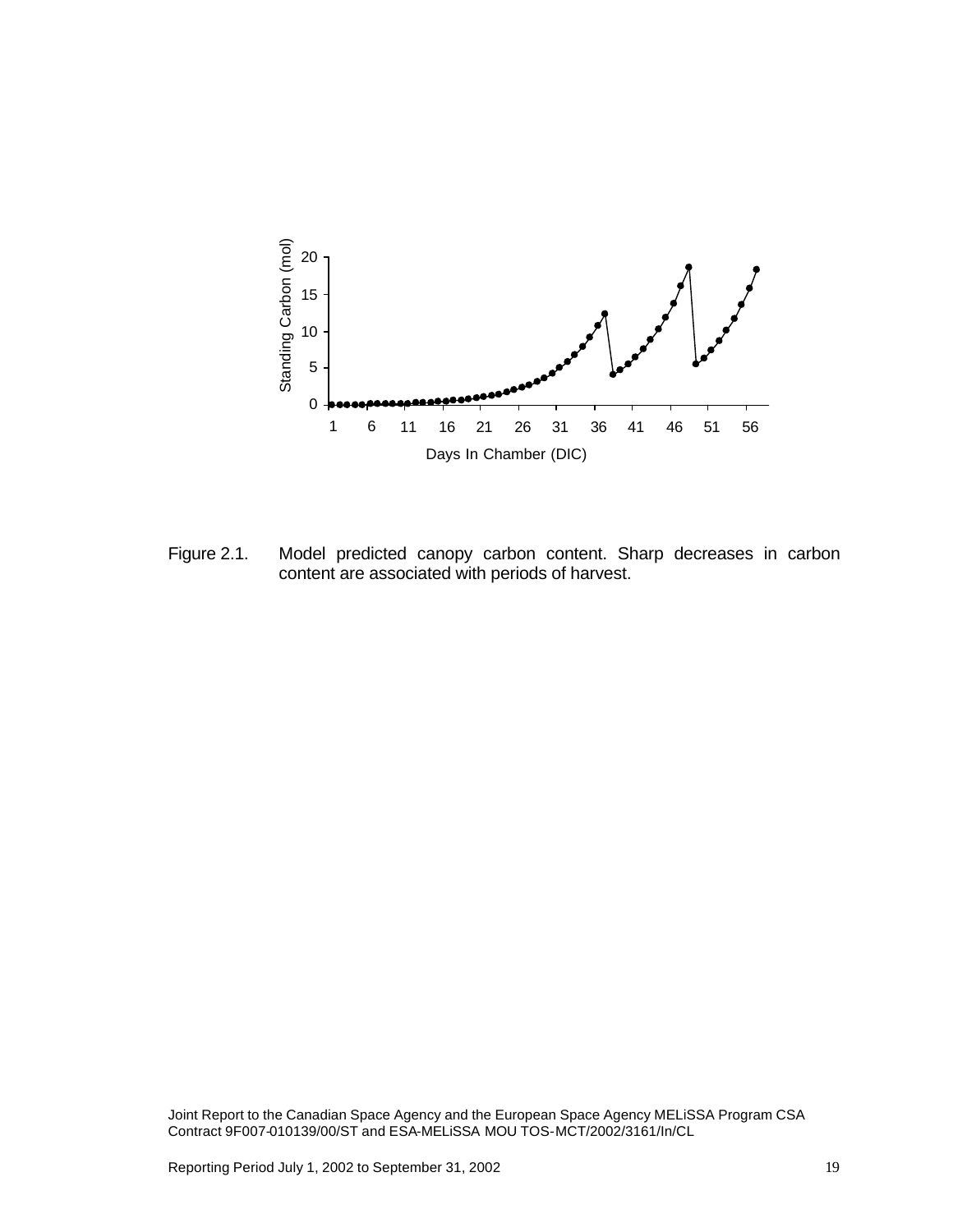

Figure 2.1. Model predicted canopy carbon content. Sharp decreases in carbon content are associated with periods of harvest.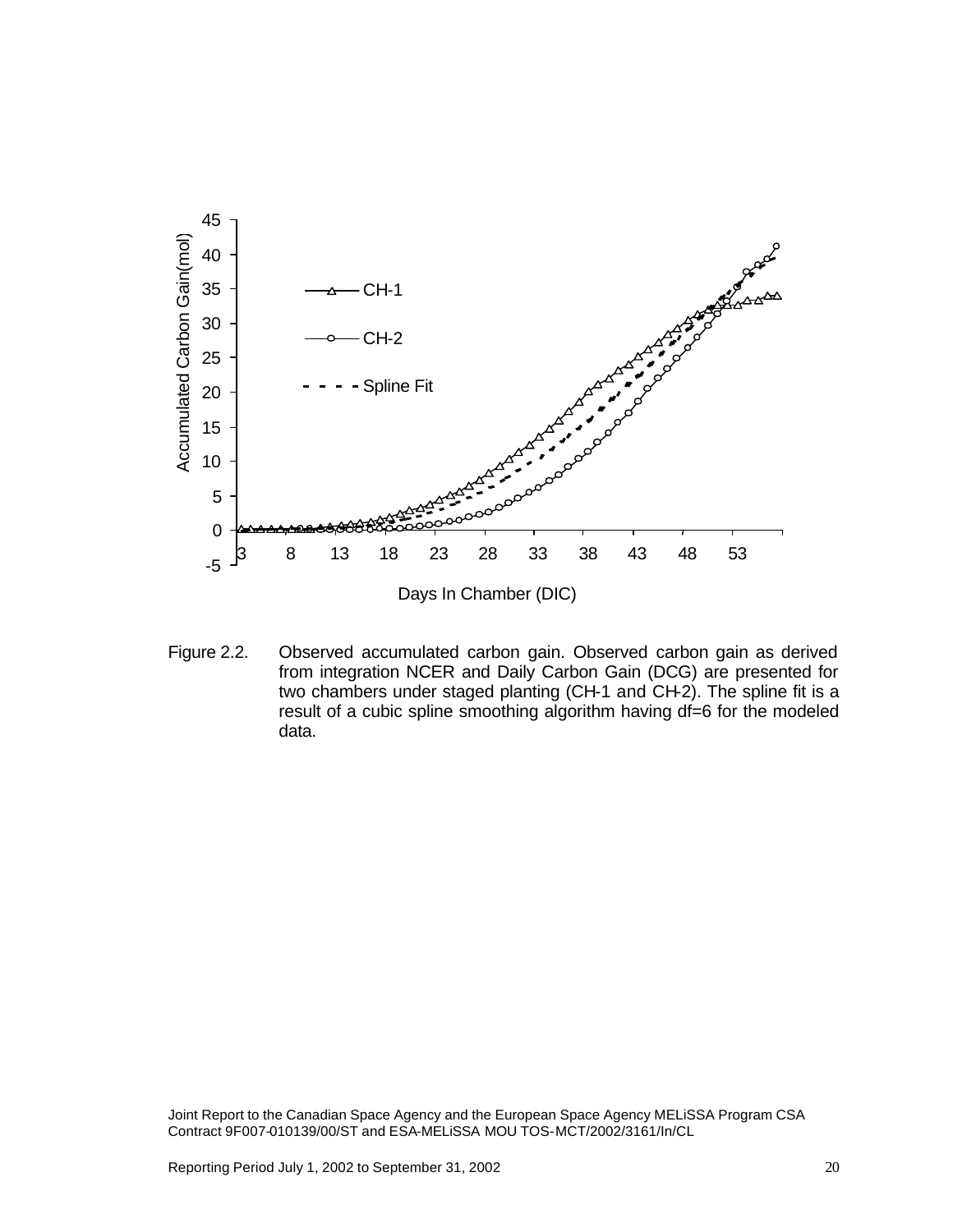

Figure 2.2. Observed accumulated carbon gain. Observed carbon gain as derived from integration NCER and Daily Carbon Gain (DCG) are presented for two chambers under staged planting (CH-1 and CH-2). The spline fit is a result of a cubic spline smoothing algorithm having df=6 for the modeled data.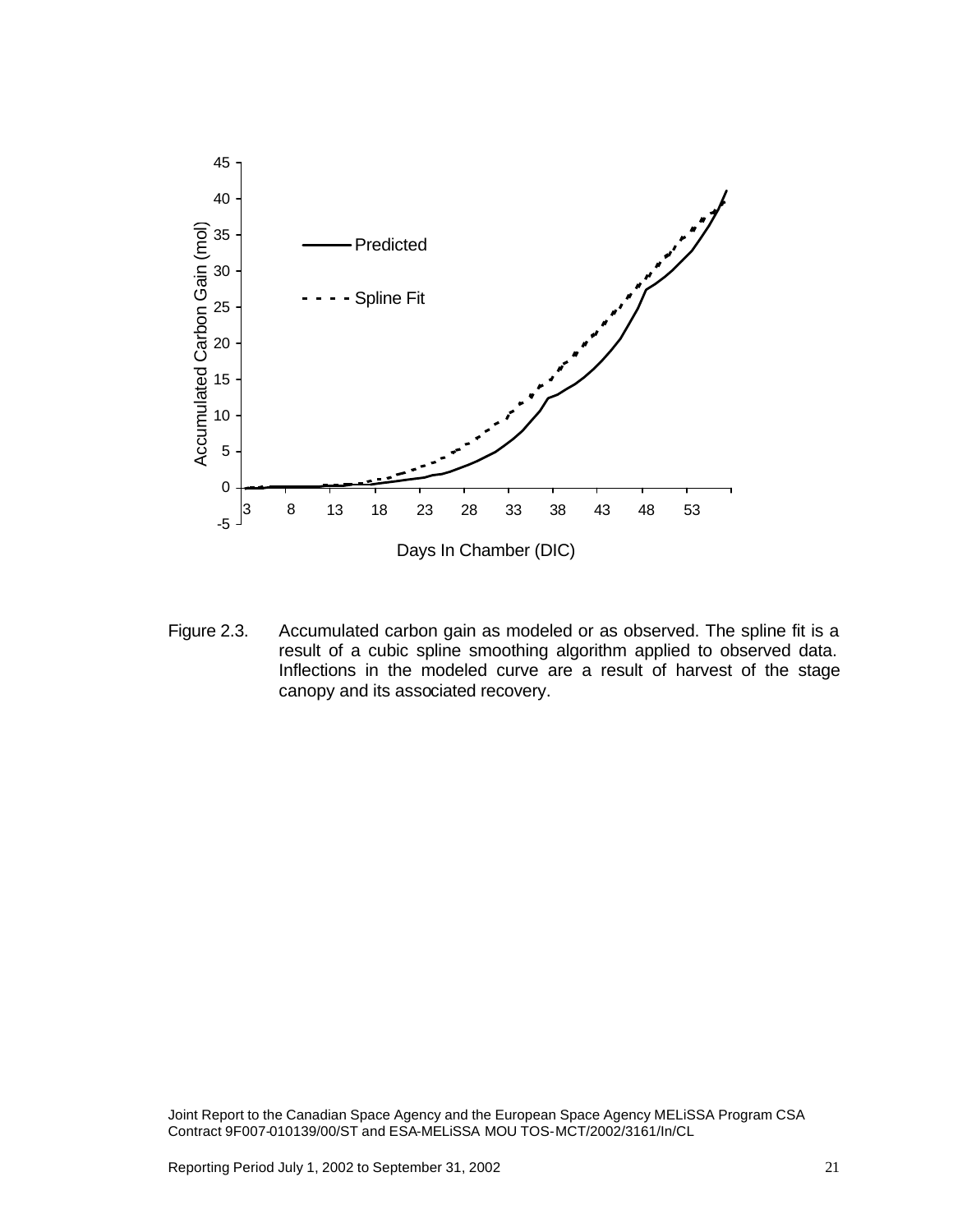

Figure 2.3. Accumulated carbon gain as modeled or as observed. The spline fit is a result of a cubic spline smoothing algorithm applied to observed data. Inflections in the modeled curve are a result of harvest of the stage canopy and its associated recovery.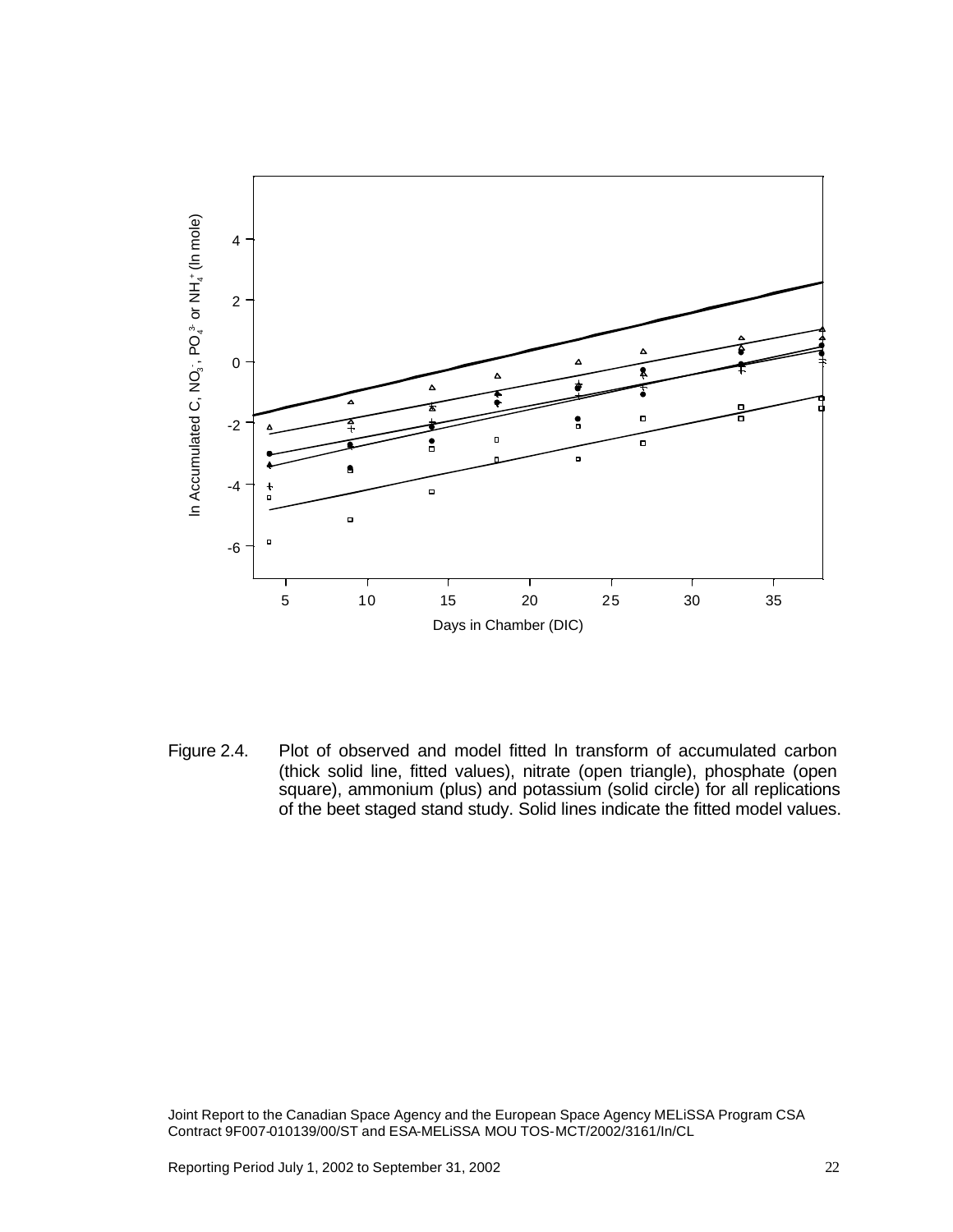

Figure 2.4. Plot of observed and model fitted ln transform of accumulated carbon (thick solid line, fitted values), nitrate (open triangle), phosphate (open square), ammonium (plus) and potassium (solid circle) for all replications of the beet staged stand study. Solid lines indicate the fitted model values.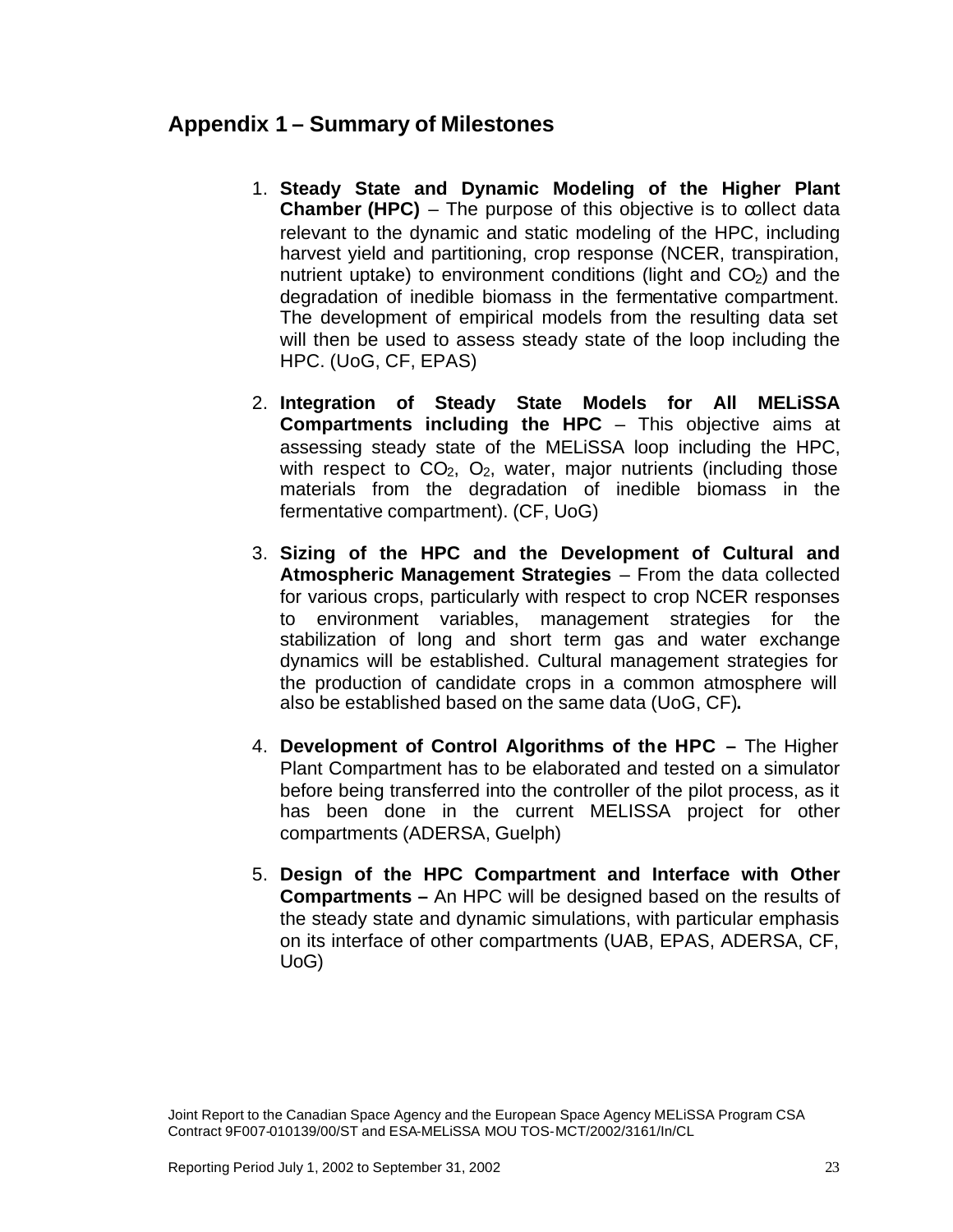# **Appendix 1 – Summary of Milestones**

- 1. **Steady State and Dynamic Modeling of the Higher Plant Chamber (HPC)** – The purpose of this objective is to collect data relevant to the dynamic and static modeling of the HPC, including harvest yield and partitioning, crop response (NCER, transpiration, nutrient uptake) to environment conditions (light and  $CO<sub>2</sub>$ ) and the degradation of inedible biomass in the fermentative compartment. The development of empirical models from the resulting data set will then be used to assess steady state of the loop including the HPC. (UoG, CF, EPAS)
- 2. **Integration of Steady State Models for All MELiSSA Compartments including the HPC** – This objective aims at assessing steady state of the MELiSSA loop including the HPC, with respect to  $CO<sub>2</sub>$ ,  $O<sub>2</sub>$ , water, major nutrients (including those materials from the degradation of inedible biomass in the fermentative compartment). (CF, UoG)
- 3. **Sizing of the HPC and the Development of Cultural and Atmospheric Management Strategies** – From the data collected for various crops, particularly with respect to crop NCER responses to environment variables, management strategies for the stabilization of long and short term gas and water exchange dynamics will be established. Cultural management strategies for the production of candidate crops in a common atmosphere will also be established based on the same data (UoG, CF)**.**
- 4. **Development of Control Algorithms of the HPC –** The Higher Plant Compartment has to be elaborated and tested on a simulator before being transferred into the controller of the pilot process, as it has been done in the current MELISSA project for other compartments (ADERSA, Guelph)
- 5. **Design of the HPC Compartment and Interface with Other Compartments –** An HPC will be designed based on the results of the steady state and dynamic simulations, with particular emphasis on its interface of other compartments (UAB, EPAS, ADERSA, CF, UoG)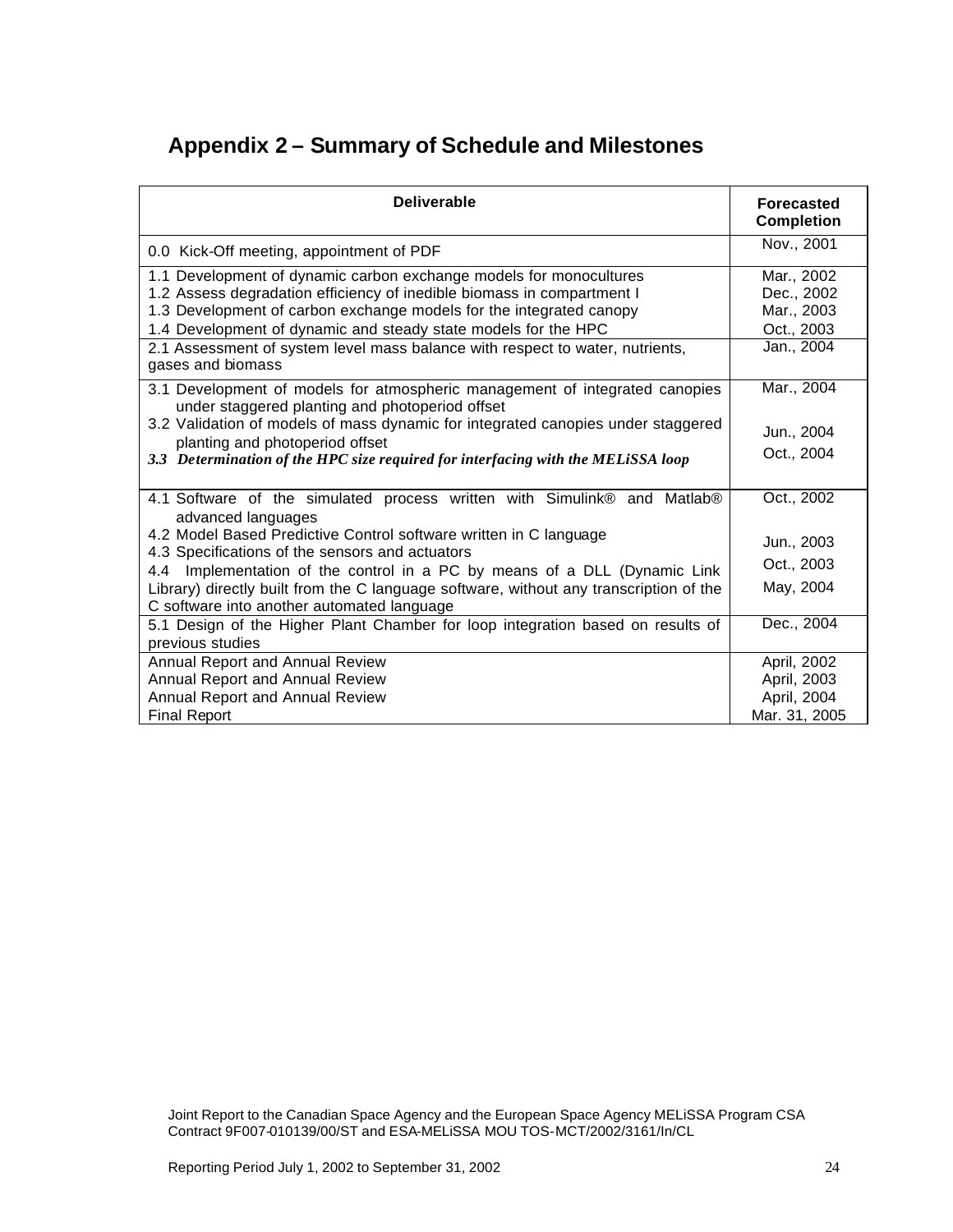# **Appendix 2 – Summary of Schedule and Milestones**

| <b>Deliverable</b>                                                                                                                                                                                                                                                                                                                                                                                                                          | <b>Forecasted</b><br><b>Completion</b>                             |
|---------------------------------------------------------------------------------------------------------------------------------------------------------------------------------------------------------------------------------------------------------------------------------------------------------------------------------------------------------------------------------------------------------------------------------------------|--------------------------------------------------------------------|
| 0.0 Kick-Off meeting, appointment of PDF                                                                                                                                                                                                                                                                                                                                                                                                    | Nov., 2001                                                         |
| 1.1 Development of dynamic carbon exchange models for monocultures<br>1.2 Assess degradation efficiency of inedible biomass in compartment I<br>1.3 Development of carbon exchange models for the integrated canopy<br>1.4 Development of dynamic and steady state models for the HPC<br>2.1 Assessment of system level mass balance with respect to water, nutrients,<br>gases and biomass                                                 | Mar., 2002<br>Dec., 2002<br>Mar., 2003<br>Oct., 2003<br>Jan., 2004 |
| 3.1 Development of models for atmospheric management of integrated canopies<br>under staggered planting and photoperiod offset<br>3.2 Validation of models of mass dynamic for integrated canopies under staggered<br>planting and photoperiod offset<br>3.3 Determination of the HPC size required for interfacing with the MELiSSA loop                                                                                                   | Mar., 2004<br>Jun., 2004<br>Oct., 2004                             |
| 4.1 Software of the simulated process written with Simulink® and Matlab®<br>advanced languages<br>4.2 Model Based Predictive Control software written in C language<br>4.3 Specifications of the sensors and actuators<br>4.4 Implementation of the control in a PC by means of a DLL (Dynamic Link<br>Library) directly built from the C language software, without any transcription of the<br>C software into another automated language | Oct., 2002<br>Jun., 2003<br>Oct., 2003<br>May, 2004                |
| 5.1 Design of the Higher Plant Chamber for loop integration based on results of<br>previous studies                                                                                                                                                                                                                                                                                                                                         | Dec., 2004                                                         |
| Annual Report and Annual Review<br>Annual Report and Annual Review<br>Annual Report and Annual Review<br><b>Final Report</b>                                                                                                                                                                                                                                                                                                                | April, 2002<br>April, 2003<br>April, 2004<br>Mar. 31, 2005         |